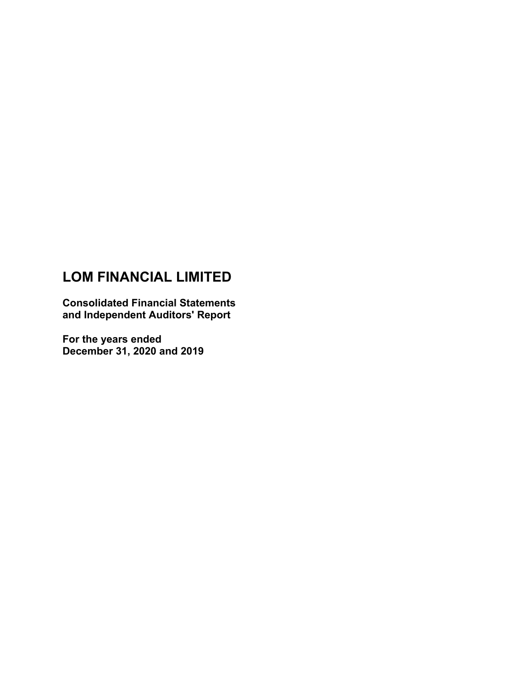# **LOM FINANCIAL LIMITED**

**Consolidated Financial Statements and Independent Auditors' Report**

**For the years ended December 31, 2020 and 2019**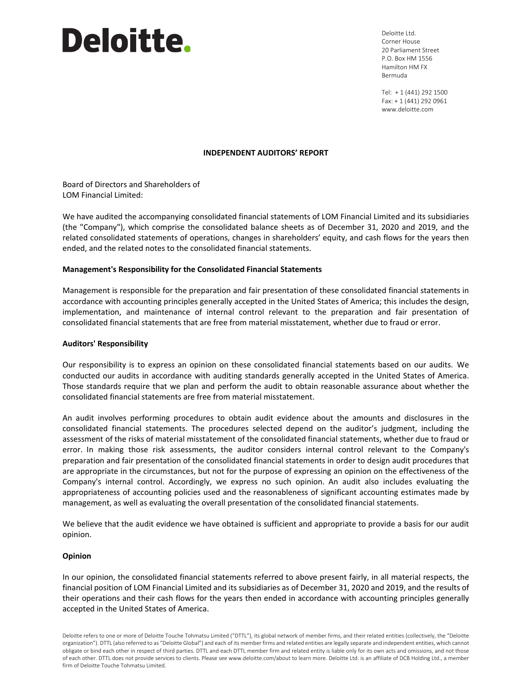# Deloitte.

Deloitte Ltd. Corner House 20 Parliament Street P.O. Box HM 1556 Hamilton HM FX Bermuda

Tel: + 1 (441) 292 1500 Fax: + 1 (441) 292 0961 www.deloitte.com

#### **INDEPENDENT AUDITORS' REPORT**

Board of Directors and Shareholders of LOM Financial Limited:

We have audited the accompanying consolidated financial statements of LOM Financial Limited and its subsidiaries (the "Company"), which comprise the consolidated balance sheets as of December 31, 2020 and 2019, and the related consolidated statements of operations, changes in shareholders' equity, and cash flows for the years then ended, and the related notes to the consolidated financial statements.

#### **Management's Responsibility for the Consolidated Financial Statements**

Management is responsible for the preparation and fair presentation of these consolidated financial statements in accordance with accounting principles generally accepted in the United States of America; this includes the design, implementation, and maintenance of internal control relevant to the preparation and fair presentation of consolidated financial statements that are free from material misstatement, whether due to fraud or error.

#### **Auditors' Responsibility**

Our responsibility is to express an opinion on these consolidated financial statements based on our audits. We conducted our audits in accordance with auditing standards generally accepted in the United States of America. Those standards require that we plan and perform the audit to obtain reasonable assurance about whether the consolidated financial statements are free from material misstatement.

An audit involves performing procedures to obtain audit evidence about the amounts and disclosures in the consolidated financial statements. The procedures selected depend on the auditor's judgment, including the assessment of the risks of material misstatement of the consolidated financial statements, whether due to fraud or error. In making those risk assessments, the auditor considers internal control relevant to the Company's preparation and fair presentation of the consolidated financial statements in order to design audit procedures that are appropriate in the circumstances, but not for the purpose of expressing an opinion on the effectiveness of the Company's internal control. Accordingly, we express no such opinion. An audit also includes evaluating the appropriateness of accounting policies used and the reasonableness of significant accounting estimates made by management, as well as evaluating the overall presentation of the consolidated financial statements.

We believe that the audit evidence we have obtained is sufficient and appropriate to provide a basis for our audit opinion.

#### **Opinion**

In our opinion, the consolidated financial statements referred to above present fairly, in all material respects, the financial position of LOM Financial Limited and its subsidiaries as of December 31, 2020 and 2019, and the results of their operations and their cash flows for the years then ended in accordance with accounting principles generally accepted in the United States of America.

Deloitte refers to one or more of Deloitte Touche Tohmatsu Limited ("DTTL"), its global network of member firms, and their related entities (collectively, the "Deloitte organization"). DTTL (also referred to as "Deloitte Global") and each of its member firms and related entities are legally separate and independent entities, which cannot obligate or bind each other in respect of third parties. DTTL and each DTTL member firm and related entity is liable only for its own acts and omissions, and not those of each other. DTTL does not provide services to clients. Please see www.deloitte.com/about to learn more. Deloitte Ltd. is an affiliate of DCB Holding Ltd., a member firm of Deloitte Touche Tohmatsu Limited.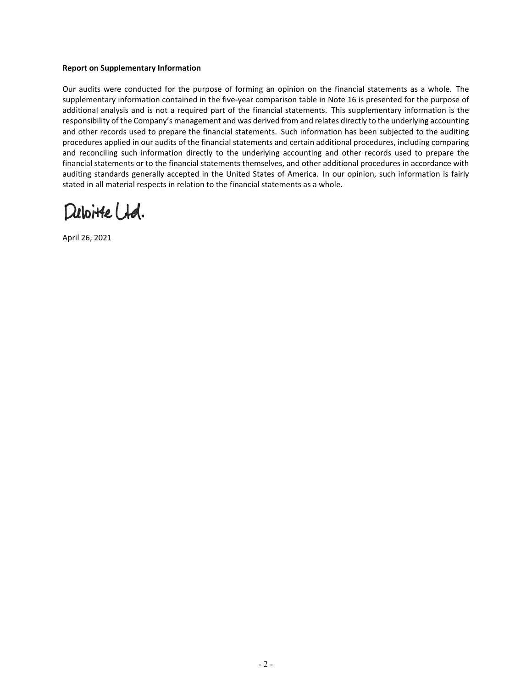#### **Report on Supplementary Information**

Our audits were conducted for the purpose of forming an opinion on the financial statements as a whole. The supplementary information contained in the five-year comparison table in Note 16 is presented for the purpose of additional analysis and is not a required part of the financial statements. This supplementary information is the responsibility of the Company's management and was derived from and relates directly to the underlying accounting and other records used to prepare the financial statements. Such information has been subjected to the auditing procedures applied in our audits of the financial statements and certain additional procedures, including comparing and reconciling such information directly to the underlying accounting and other records used to prepare the financial statements or to the financial statements themselves, and other additional procedures in accordance with auditing standards generally accepted in the United States of America. In our opinion, such information is fairly stated in all material respects in relation to the financial statements as a whole.

Duboite Ltd.

April 26, 2021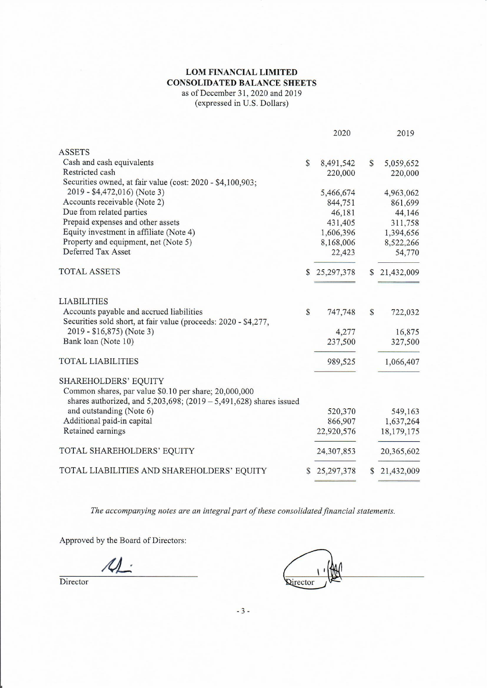# LOM FINANCIAL LIMITED **CONSOLIDATED BALANCE SHEETS** as of December 31, 2020 and 2019 (expressed in U.S. Dollars)

|                                                                                                                                                        | 2020            |              | 2019         |
|--------------------------------------------------------------------------------------------------------------------------------------------------------|-----------------|--------------|--------------|
| <b>ASSETS</b>                                                                                                                                          |                 |              |              |
| Cash and cash equivalents                                                                                                                              | \$<br>8,491,542 | $\mathbb{S}$ | 5,059,652    |
| Restricted cash                                                                                                                                        | 220,000         |              | 220,000      |
| Securities owned, at fair value (cost: 2020 - \$4,100,903;                                                                                             |                 |              |              |
| 2019 - \$4,472,016) (Note 3)                                                                                                                           | 5,466,674       |              | 4,963,062    |
| Accounts receivable (Note 2)                                                                                                                           | 844,751         |              | 861,699      |
| Due from related parties                                                                                                                               | 46,181          |              | 44,146       |
| Prepaid expenses and other assets                                                                                                                      | 431,405         |              | 311,758      |
| Equity investment in affiliate (Note 4)                                                                                                                | 1,606,396       |              | 1,394,656    |
| Property and equipment, net (Note 5)                                                                                                                   | 8,168,006       |              | 8,522,266    |
| Deferred Tax Asset                                                                                                                                     | 22,423          |              | 54,770       |
| <b>TOTAL ASSETS</b>                                                                                                                                    | \$25,297,378    | $\mathbb{S}$ | 21,432,009   |
| <b>LIABILITIES</b>                                                                                                                                     |                 |              |              |
| Accounts payable and accrued liabilities<br>Securities sold short, at fair value (proceeds: 2020 - \$4,277,                                            | \$<br>747,748   | $\mathbb{S}$ | 722,032      |
| 2019 - \$16,875) (Note 3)                                                                                                                              | 4,277           |              | 16,875       |
| Bank loan (Note 10)                                                                                                                                    | 237,500         |              | 327,500      |
| <b>TOTAL LIABILITIES</b>                                                                                                                               | 989,525         |              | 1,066,407    |
| SHAREHOLDERS' EQUITY<br>Common shares, par value \$0.10 per share; 20,000,000<br>shares authorized, and $5,203,698$ ; (2019 - 5,491,628) shares issued |                 |              |              |
| and outstanding (Note 6)                                                                                                                               | 520,370         |              | 549,163      |
| Additional paid-in capital                                                                                                                             | 866,907         |              | 1,637,264    |
| Retained earnings                                                                                                                                      | 22,920,576      |              | 18,179,175   |
| TOTAL SHAREHOLDERS' EQUITY                                                                                                                             | 24,307,853      |              | 20,365,602   |
| TOTAL LIABILITIES AND SHAREHOLDERS' EQUITY                                                                                                             | \$25,297,378    |              | \$21,432,009 |
|                                                                                                                                                        |                 |              |              |

The accompanying notes are an integral part of these consolidated financial statements.

Approved by the Board of Directors:

 $\Lambda$ .

**Qirector** 

Director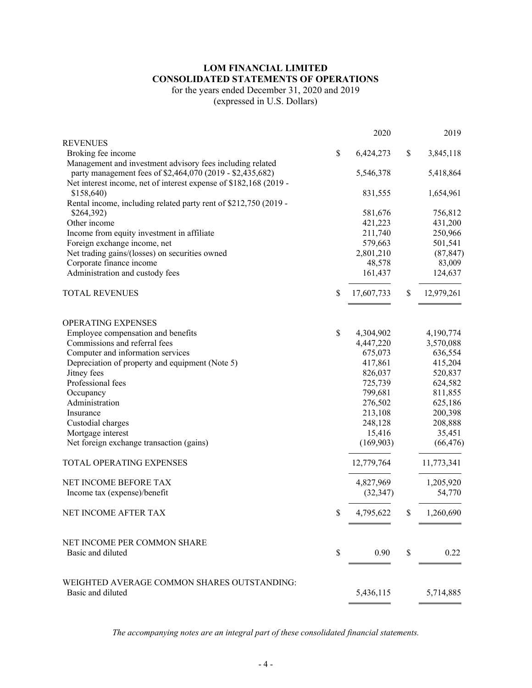# **LOM FINANCIAL LIMITED CONSOLIDATED STATEMENTS OF OPERATIONS**

for the years ended December 31, 2020 and 2019

(expressed in U.S. Dollars)

|                                                                   | 2020             | 2019             |
|-------------------------------------------------------------------|------------------|------------------|
| <b>REVENUES</b>                                                   |                  |                  |
| Broking fee income                                                | \$<br>6,424,273  | \$<br>3,845,118  |
| Management and investment advisory fees including related         |                  |                  |
| party management fees of \$2,464,070 (2019 - \$2,435,682)         | 5,546,378        | 5,418,864        |
| Net interest income, net of interest expense of \$182,168 (2019 - |                  |                  |
| \$158,640)                                                        | 831,555          | 1,654,961        |
| Rental income, including related party rent of \$212,750 (2019 -  |                  |                  |
| \$264,392)                                                        | 581,676          | 756,812          |
| Other income                                                      | 421,223          | 431,200          |
| Income from equity investment in affiliate                        | 211,740          | 250,966          |
| Foreign exchange income, net                                      | 579,663          | 501,541          |
| Net trading gains/(losses) on securities owned                    | 2,801,210        | (87, 847)        |
| Corporate finance income                                          | 48,578           | 83,009           |
| Administration and custody fees                                   | 161,437          | 124,637          |
| <b>TOTAL REVENUES</b>                                             | \$<br>17,607,733 | \$<br>12,979,261 |
|                                                                   |                  |                  |
| <b>OPERATING EXPENSES</b>                                         |                  |                  |
| Employee compensation and benefits                                | \$<br>4,304,902  | 4,190,774        |
| Commissions and referral fees                                     | 4,447,220        | 3,570,088        |
| Computer and information services                                 | 675,073          | 636,554          |
| Depreciation of property and equipment (Note 5)                   | 417,861          | 415,204          |
| Jitney fees                                                       | 826,037          | 520,837          |
| Professional fees                                                 | 725,739          | 624,582          |
| Occupancy                                                         | 799,681          | 811,855          |
| Administration                                                    | 276,502          | 625,186          |
| Insurance                                                         | 213,108          | 200,398          |
| Custodial charges                                                 | 248,128          | 208,888          |
| Mortgage interest                                                 | 15,416           | 35,451           |
| Net foreign exchange transaction (gains)                          | (169,903)        | (66, 476)        |
| TOTAL OPERATING EXPENSES                                          | 12,779,764       | 11,773,341       |
| NET INCOME BEFORE TAX                                             | 4,827,969        | 1,205,920        |
| Income tax (expense)/benefit                                      | (32, 347)        | 54,770           |
|                                                                   |                  |                  |
| NET INCOME AFTER TAX                                              | \$<br>4,795,622  | \$<br>1,260,690  |
| NET INCOME PER COMMON SHARE                                       |                  |                  |
| Basic and diluted                                                 | \$<br>0.90       | \$<br>0.22       |
| WEIGHTED AVERAGE COMMON SHARES OUTSTANDING:                       |                  |                  |
| Basic and diluted                                                 | 5,436,115        | 5,714,885        |

*The accompanying notes are an integral part of these consolidated financial statements.*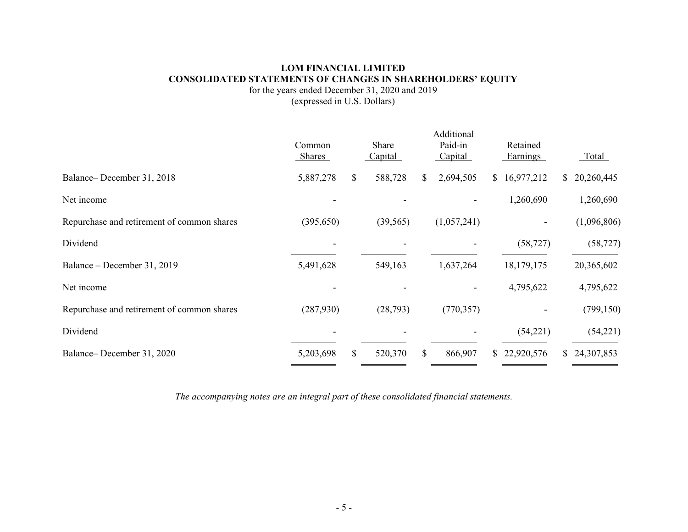# **LOM FINANCIAL LIMITED CONSOLIDATED STATEMENTS OF CHANGES IN SHAREHOLDERS' EQUITY**

for the years ended December 31, 2020 and 2019 (expressed in U.S. Dollars)

|                                            |                         |     |                  | Additional         |                      |              |             |
|--------------------------------------------|-------------------------|-----|------------------|--------------------|----------------------|--------------|-------------|
|                                            | Common<br><b>Shares</b> |     | Share<br>Capital | Paid-in<br>Capital | Retained<br>Earnings |              | Total       |
| Balance-December 31, 2018                  | 5,887,278               | \$  | 588,728          | \$<br>2,694,505    | \$16,977,212         | <sup>S</sup> | 20,260,445  |
| Net income                                 |                         |     |                  |                    | 1,260,690            |              | 1,260,690   |
| Repurchase and retirement of common shares | (395, 650)              |     | (39, 565)        | (1,057,241)        |                      |              | (1,096,806) |
| Dividend                                   |                         |     |                  |                    | (58, 727)            |              | (58, 727)   |
| Balance - December 31, 2019                | 5,491,628               |     | 549,163          | 1,637,264          | 18,179,175           |              | 20,365,602  |
| Net income                                 |                         |     |                  |                    | 4,795,622            |              | 4,795,622   |
| Repurchase and retirement of common shares | (287,930)               |     | (28, 793)        | (770, 357)         |                      |              | (799, 150)  |
| Dividend                                   |                         |     |                  |                    | (54,221)             |              | (54,221)    |
| Balance-December 31, 2020                  | 5,203,698               | \$. | 520,370          | \$<br>866,907      | \$22,920,576         | S.           | 24,307,853  |

*The accompanying notes are an integral part of these consolidated financial statements.*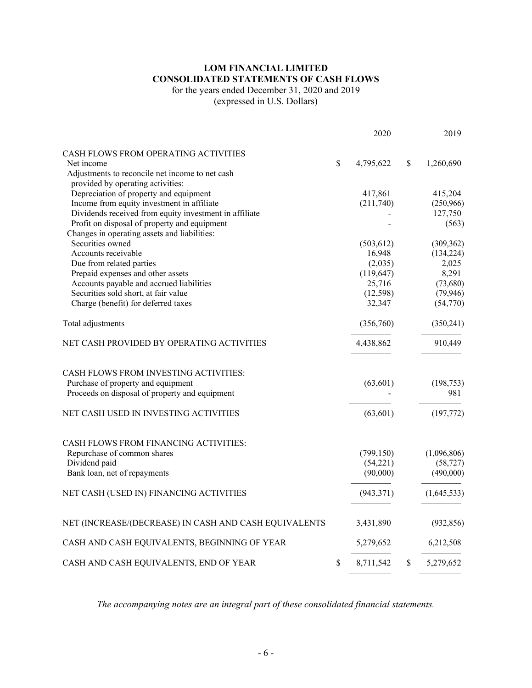# **LOM FINANCIAL LIMITED CONSOLIDATED STATEMENTS OF CASH FLOWS**

for the years ended December 31, 2020 and 2019

(expressed in U.S. Dollars)

|                                                                                                                               |              | 2020       | 2019              |
|-------------------------------------------------------------------------------------------------------------------------------|--------------|------------|-------------------|
| CASH FLOWS FROM OPERATING ACTIVITIES                                                                                          |              |            |                   |
| Net income                                                                                                                    | $\mathbb{S}$ | 4,795,622  | \$<br>1,260,690   |
| Adjustments to reconcile net income to net cash                                                                               |              |            |                   |
| provided by operating activities:                                                                                             |              |            |                   |
| Depreciation of property and equipment                                                                                        |              | 417,861    | 415,204           |
| Income from equity investment in affiliate                                                                                    |              | (211,740)  | (250,966)         |
| Dividends received from equity investment in affiliate                                                                        |              |            | 127,750           |
| Profit on disposal of property and equipment                                                                                  |              |            | (563)             |
| Changes in operating assets and liabilities:                                                                                  |              |            |                   |
| Securities owned                                                                                                              |              | (503, 612) | (309, 362)        |
| Accounts receivable                                                                                                           |              | 16,948     | (134, 224)        |
| Due from related parties                                                                                                      |              | (2,035)    | 2,025             |
| Prepaid expenses and other assets                                                                                             |              | (119, 647) | 8,291             |
| Accounts payable and accrued liabilities                                                                                      |              | 25,716     | (73,680)          |
| Securities sold short, at fair value                                                                                          |              | (12, 598)  | (79, 946)         |
| Charge (benefit) for deferred taxes                                                                                           |              | 32,347     | (54,770)          |
| Total adjustments                                                                                                             |              | (356,760)  | (350,241)         |
| NET CASH PROVIDED BY OPERATING ACTIVITIES                                                                                     |              | 4,438,862  | 910,449           |
| CASH FLOWS FROM INVESTING ACTIVITIES:<br>Purchase of property and equipment<br>Proceeds on disposal of property and equipment |              | (63, 601)  | (198, 753)<br>981 |
| NET CASH USED IN INVESTING ACTIVITIES                                                                                         |              | (63, 601)  | (197, 772)        |
| CASH FLOWS FROM FINANCING ACTIVITIES:                                                                                         |              |            |                   |
| Repurchase of common shares                                                                                                   |              | (799, 150) | (1,096,806)       |
| Dividend paid                                                                                                                 |              | (54,221)   | (58, 727)         |
| Bank loan, net of repayments                                                                                                  |              | (90,000)   | (490,000)         |
| NET CASH (USED IN) FINANCING ACTIVITIES                                                                                       |              | (943, 371) | (1,645,533)       |
| NET (INCREASE/(DECREASE) IN CASH AND CASH EQUIVALENTS                                                                         |              | 3,431,890  | (932, 856)        |
| CASH AND CASH EQUIVALENTS, BEGINNING OF YEAR                                                                                  |              | 5,279,652  | 6,212,508         |
| CASH AND CASH EQUIVALENTS, END OF YEAR                                                                                        | \$           | 8,711,542  | \$<br>5,279,652   |
|                                                                                                                               |              |            |                   |

*The accompanying notes are an integral part of these consolidated financial statements.*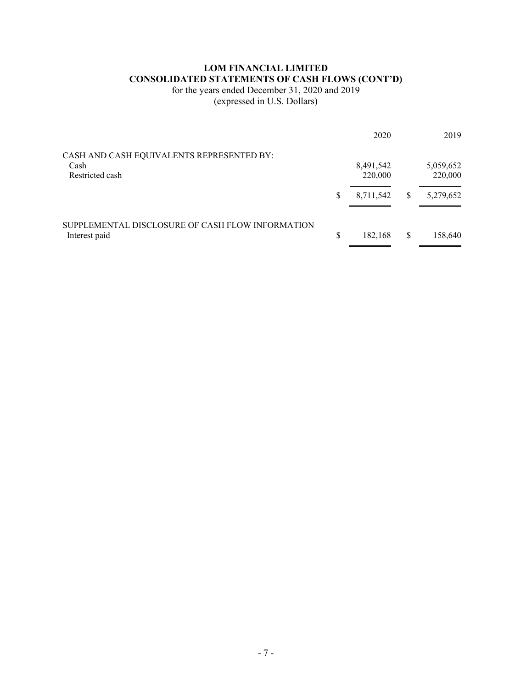# **LOM FINANCIAL LIMITED CONSOLIDATED STATEMENTS OF CASH FLOWS (CONT'D)**

for the years ended December 31, 2020 and 2019

(expressed in U.S. Dollars)

|                                                  |    | 2020                 |   | 2019                 |
|--------------------------------------------------|----|----------------------|---|----------------------|
| CASH AND CASH EQUIVALENTS REPRESENTED BY:        |    |                      |   |                      |
| Cash<br>Restricted cash                          |    | 8,491,542<br>220,000 |   | 5,059,652<br>220,000 |
|                                                  | S  | 8,711,542            | S | 5,279,652            |
| SUPPLEMENTAL DISCLOSURE OF CASH FLOW INFORMATION |    |                      |   |                      |
| Interest paid                                    | \$ | 182,168              | S | 158,640              |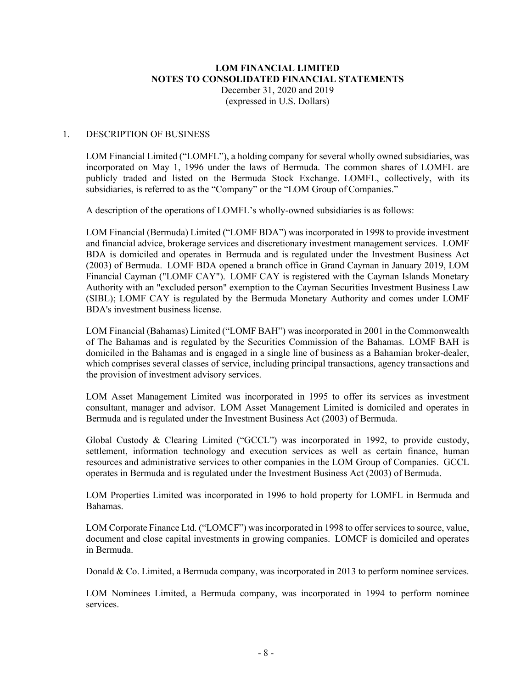#### 1. DESCRIPTION OF BUSINESS

LOM Financial Limited ("LOMFL"), a holding company for several wholly owned subsidiaries, was incorporated on May 1, 1996 under the laws of Bermuda. The common shares of LOMFL are publicly traded and listed on the Bermuda Stock Exchange. LOMFL, collectively, with its subsidiaries, is referred to as the "Company" or the "LOM Group of Companies."

A description of the operations of LOMFL's wholly-owned subsidiaries is as follows:

LOM Financial (Bermuda) Limited ("LOMF BDA") was incorporated in 1998 to provide investment and financial advice, brokerage services and discretionary investment management services. LOMF BDA is domiciled and operates in Bermuda and is regulated under the Investment Business Act (2003) of Bermuda. LOMF BDA opened a branch office in Grand Cayman in January 2019, LOM Financial Cayman ("LOMF CAY"). LOMF CAY is registered with the Cayman Islands Monetary Authority with an "excluded person" exemption to the Cayman Securities Investment Business Law (SIBL); LOMF CAY is regulated by the Bermuda Monetary Authority and comes under LOMF BDA's investment business license.

LOM Financial (Bahamas) Limited ("LOMF BAH") was incorporated in 2001 in the Commonwealth of The Bahamas and is regulated by the Securities Commission of the Bahamas. LOMF BAH is domiciled in the Bahamas and is engaged in a single line of business as a Bahamian broker-dealer, which comprises several classes of service, including principal transactions, agency transactions and the provision of investment advisory services.

LOM Asset Management Limited was incorporated in 1995 to offer its services as investment consultant, manager and advisor. LOM Asset Management Limited is domiciled and operates in Bermuda and is regulated under the Investment Business Act (2003) of Bermuda.

Global Custody & Clearing Limited ("GCCL") was incorporated in 1992, to provide custody, settlement, information technology and execution services as well as certain finance, human resources and administrative services to other companies in the LOM Group of Companies. GCCL operates in Bermuda and is regulated under the Investment Business Act (2003) of Bermuda.

LOM Properties Limited was incorporated in 1996 to hold property for LOMFL in Bermuda and Bahamas.

LOM Corporate Finance Ltd. ("LOMCF") was incorporated in 1998 to offer services to source, value, document and close capital investments in growing companies. LOMCF is domiciled and operates in Bermuda.

Donald & Co. Limited, a Bermuda company, was incorporated in 2013 to perform nominee services.

LOM Nominees Limited, a Bermuda company, was incorporated in 1994 to perform nominee services.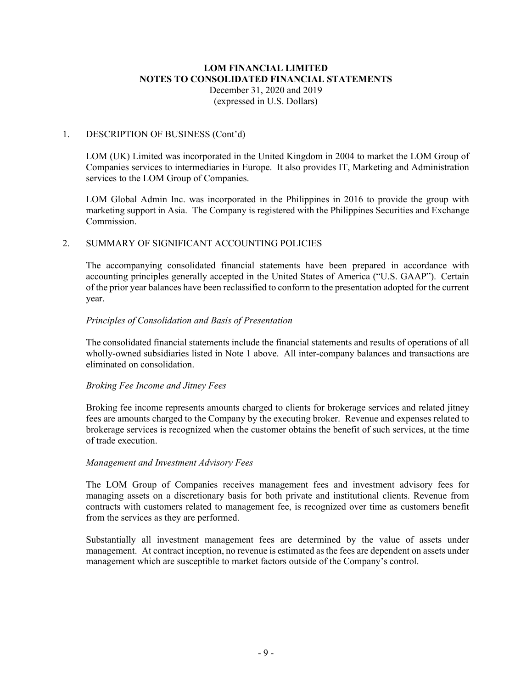#### 1. DESCRIPTION OF BUSINESS (Cont'd)

LOM (UK) Limited was incorporated in the United Kingdom in 2004 to market the LOM Group of Companies services to intermediaries in Europe. It also provides IT, Marketing and Administration services to the LOM Group of Companies.

LOM Global Admin Inc. was incorporated in the Philippines in 2016 to provide the group with marketing support in Asia. The Company is registered with the Philippines Securities and Exchange Commission.

#### 2. SUMMARY OF SIGNIFICANT ACCOUNTING POLICIES

The accompanying consolidated financial statements have been prepared in accordance with accounting principles generally accepted in the United States of America ("U.S. GAAP"). Certain of the prior year balances have been reclassified to conform to the presentation adopted for the current year.

#### *Principles of Consolidation and Basis of Presentation*

The consolidated financial statements include the financial statements and results of operations of all wholly-owned subsidiaries listed in Note 1 above. All inter-company balances and transactions are eliminated on consolidation.

#### *Broking Fee Income and Jitney Fees*

Broking fee income represents amounts charged to clients for brokerage services and related jitney fees are amounts charged to the Company by the executing broker. Revenue and expenses related to brokerage services is recognized when the customer obtains the benefit of such services, at the time of trade execution.

#### *Management and Investment Advisory Fees*

The LOM Group of Companies receives management fees and investment advisory fees for managing assets on a discretionary basis for both private and institutional clients. Revenue from contracts with customers related to management fee, is recognized over time as customers benefit from the services as they are performed.

Substantially all investment management fees are determined by the value of assets under management. At contract inception, no revenue is estimated as the fees are dependent on assets under management which are susceptible to market factors outside of the Company's control.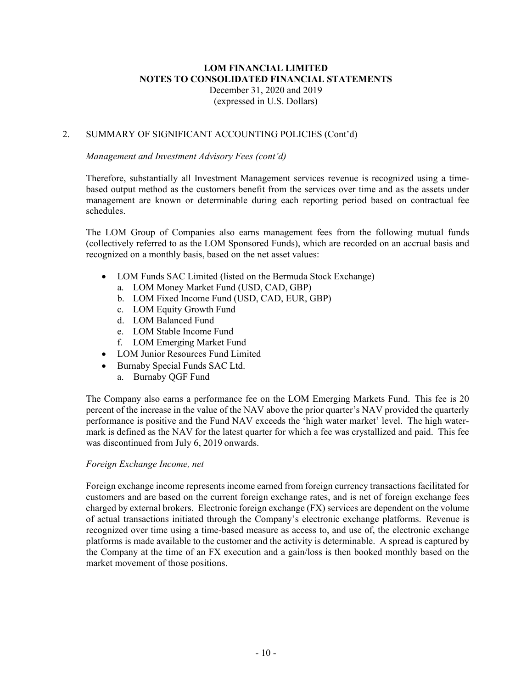#### 2. SUMMARY OF SIGNIFICANT ACCOUNTING POLICIES (Cont'd)

#### *Management and Investment Advisory Fees (cont'd)*

Therefore, substantially all Investment Management services revenue is recognized using a timebased output method as the customers benefit from the services over time and as the assets under management are known or determinable during each reporting period based on contractual fee schedules.

The LOM Group of Companies also earns management fees from the following mutual funds (collectively referred to as the LOM Sponsored Funds), which are recorded on an accrual basis and recognized on a monthly basis, based on the net asset values:

- LOM Funds SAC Limited (listed on the Bermuda Stock Exchange)
	- a. LOM Money Market Fund (USD, CAD, GBP)
	- b. LOM Fixed Income Fund (USD, CAD, EUR, GBP)
	- c. LOM Equity Growth Fund
	- d. LOM Balanced Fund
	- e. LOM Stable Income Fund
	- f. LOM Emerging Market Fund
- LOM Junior Resources Fund Limited
- Burnaby Special Funds SAC Ltd.
	- a. Burnaby QGF Fund

The Company also earns a performance fee on the LOM Emerging Markets Fund. This fee is 20 percent of the increase in the value of the NAV above the prior quarter's NAV provided the quarterly performance is positive and the Fund NAV exceeds the 'high water market' level. The high watermark is defined as the NAV for the latest quarter for which a fee was crystallized and paid. This fee was discontinued from July 6, 2019 onwards.

#### *Foreign Exchange Income, net*

Foreign exchange income represents income earned from foreign currency transactions facilitated for customers and are based on the current foreign exchange rates, and is net of foreign exchange fees charged by external brokers. Electronic foreign exchange (FX) services are dependent on the volume of actual transactions initiated through the Company's electronic exchange platforms. Revenue is recognized over time using a time-based measure as access to, and use of, the electronic exchange platforms is made available to the customer and the activity is determinable. A spread is captured by the Company at the time of an FX execution and a gain/loss is then booked monthly based on the market movement of those positions.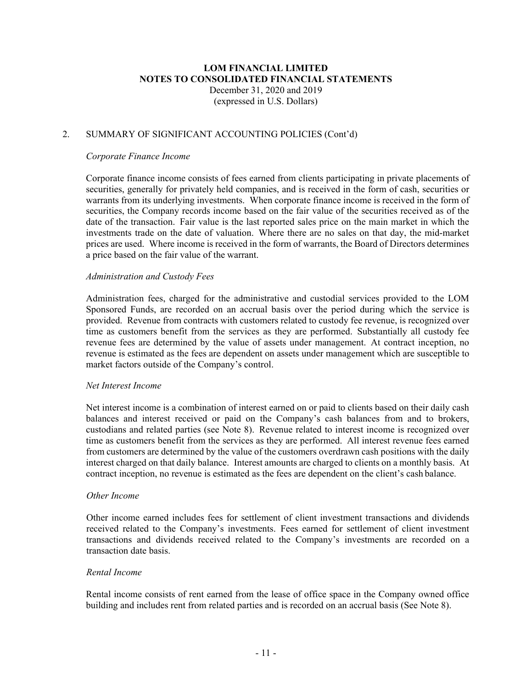#### 2. SUMMARY OF SIGNIFICANT ACCOUNTING POLICIES (Cont'd)

#### *Corporate Finance Income*

Corporate finance income consists of fees earned from clients participating in private placements of securities, generally for privately held companies, and is received in the form of cash, securities or warrants from its underlying investments. When corporate finance income is received in the form of securities, the Company records income based on the fair value of the securities received as of the date of the transaction. Fair value is the last reported sales price on the main market in which the investments trade on the date of valuation. Where there are no sales on that day, the mid-market prices are used. Where income is received in the form of warrants, the Board of Directors determines a price based on the fair value of the warrant.

#### *Administration and Custody Fees*

Administration fees, charged for the administrative and custodial services provided to the LOM Sponsored Funds, are recorded on an accrual basis over the period during which the service is provided. Revenue from contracts with customers related to custody fee revenue, is recognized over time as customers benefit from the services as they are performed. Substantially all custody fee revenue fees are determined by the value of assets under management. At contract inception, no revenue is estimated as the fees are dependent on assets under management which are susceptible to market factors outside of the Company's control.

#### *Net Interest Income*

Net interest income is a combination of interest earned on or paid to clients based on their daily cash balances and interest received or paid on the Company's cash balances from and to brokers, custodians and related parties (see Note 8). Revenue related to interest income is recognized over time as customers benefit from the services as they are performed. All interest revenue fees earned from customers are determined by the value of the customers overdrawn cash positions with the daily interest charged on that daily balance. Interest amounts are charged to clients on a monthly basis. At contract inception, no revenue is estimated as the fees are dependent on the client's cash balance.

#### *Other Income*

Other income earned includes fees for settlement of client investment transactions and dividends received related to the Company's investments. Fees earned for settlement of client investment transactions and dividends received related to the Company's investments are recorded on a transaction date basis.

#### *Rental Income*

Rental income consists of rent earned from the lease of office space in the Company owned office building and includes rent from related parties and is recorded on an accrual basis (See Note 8).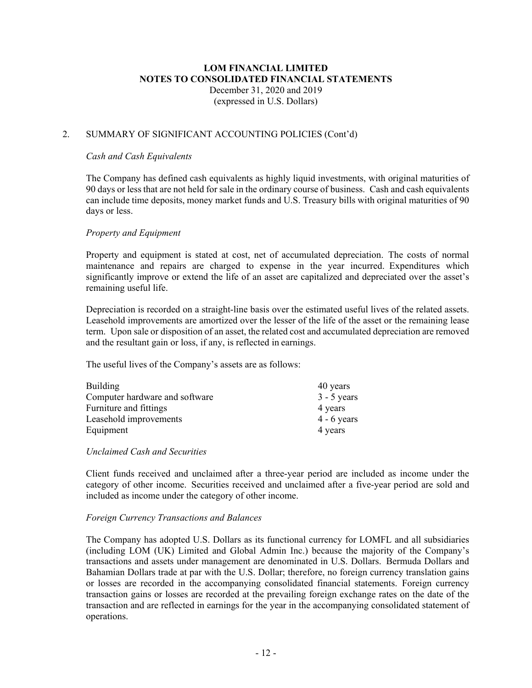#### 2. SUMMARY OF SIGNIFICANT ACCOUNTING POLICIES (Cont'd)

#### *Cash and Cash Equivalents*

The Company has defined cash equivalents as highly liquid investments, with original maturities of 90 days or less that are not held for sale in the ordinary course of business. Cash and cash equivalents can include time deposits, money market funds and U.S. Treasury bills with original maturities of 90 days or less.

#### *Property and Equipment*

Property and equipment is stated at cost, net of accumulated depreciation. The costs of normal maintenance and repairs are charged to expense in the year incurred. Expenditures which significantly improve or extend the life of an asset are capitalized and depreciated over the asset's remaining useful life.

Depreciation is recorded on a straight-line basis over the estimated useful lives of the related assets. Leasehold improvements are amortized over the lesser of the life of the asset or the remaining lease term. Upon sale or disposition of an asset, the related cost and accumulated depreciation are removed and the resultant gain or loss, if any, is reflected in earnings.

The useful lives of the Company's assets are as follows:

| Building                       | 40 years      |
|--------------------------------|---------------|
| Computer hardware and software | $3 - 5$ years |
| Furniture and fittings         | 4 years       |
| Leasehold improvements         | $4 - 6$ years |
| Equipment                      | 4 years       |

#### *Unclaimed Cash and Securities*

Client funds received and unclaimed after a three-year period are included as income under the category of other income. Securities received and unclaimed after a five-year period are sold and included as income under the category of other income.

#### *Foreign Currency Transactions and Balances*

The Company has adopted U.S. Dollars as its functional currency for LOMFL and all subsidiaries (including LOM (UK) Limited and Global Admin Inc.) because the majority of the Company's transactions and assets under management are denominated in U.S. Dollars. Bermuda Dollars and Bahamian Dollars trade at par with the U.S. Dollar; therefore, no foreign currency translation gains or losses are recorded in the accompanying consolidated financial statements. Foreign currency transaction gains or losses are recorded at the prevailing foreign exchange rates on the date of the transaction and are reflected in earnings for the year in the accompanying consolidated statement of operations.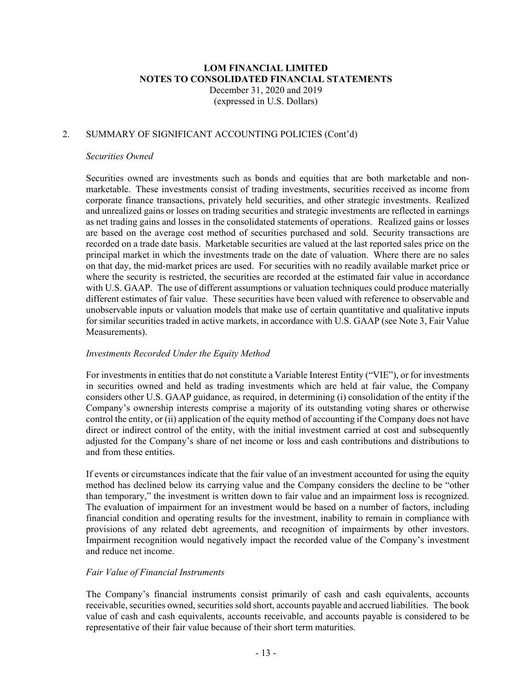#### 2. SUMMARY OF SIGNIFICANT ACCOUNTING POLICIES (Cont'd)

#### *Securities Owned*

Securities owned are investments such as bonds and equities that are both marketable and nonmarketable. These investments consist of trading investments, securities received as income from corporate finance transactions, privately held securities, and other strategic investments. Realized and unrealized gains or losses on trading securities and strategic investments are reflected in earnings as net trading gains and losses in the consolidated statements of operations. Realized gains or losses are based on the average cost method of securities purchased and sold. Security transactions are recorded on a trade date basis. Marketable securities are valued at the last reported sales price on the principal market in which the investments trade on the date of valuation. Where there are no sales on that day, the mid-market prices are used. For securities with no readily available market price or where the security is restricted, the securities are recorded at the estimated fair value in accordance with U.S. GAAP. The use of different assumptions or valuation techniques could produce materially different estimates of fair value. These securities have been valued with reference to observable and unobservable inputs or valuation models that make use of certain quantitative and qualitative inputs for similar securities traded in active markets, in accordance with U.S. GAAP (see Note 3, Fair Value Measurements).

#### *Investments Recorded Under the Equity Method*

For investments in entities that do not constitute a Variable Interest Entity ("VIE"), or for investments in securities owned and held as trading investments which are held at fair value, the Company considers other U.S. GAAP guidance, as required, in determining (i) consolidation of the entity if the Company's ownership interests comprise a majority of its outstanding voting shares or otherwise control the entity, or (ii) application of the equity method of accounting if the Company does not have direct or indirect control of the entity, with the initial investment carried at cost and subsequently adjusted for the Company's share of net income or loss and cash contributions and distributions to and from these entities.

If events or circumstances indicate that the fair value of an investment accounted for using the equity method has declined below its carrying value and the Company considers the decline to be "other than temporary," the investment is written down to fair value and an impairment loss is recognized. The evaluation of impairment for an investment would be based on a number of factors, including financial condition and operating results for the investment, inability to remain in compliance with provisions of any related debt agreements, and recognition of impairments by other investors. Impairment recognition would negatively impact the recorded value of the Company's investment and reduce net income.

#### *Fair Value of Financial Instruments*

The Company's financial instruments consist primarily of cash and cash equivalents, accounts receivable, securities owned, securities sold short, accounts payable and accrued liabilities. The book value of cash and cash equivalents, accounts receivable, and accounts payable is considered to be representative of their fair value because of their short term maturities.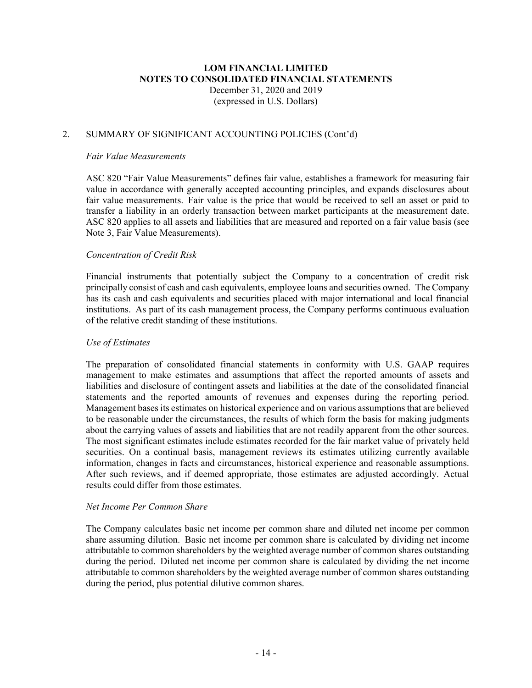#### 2. SUMMARY OF SIGNIFICANT ACCOUNTING POLICIES (Cont'd)

#### *Fair Value Measurements*

ASC 820 "Fair Value Measurements" defines fair value, establishes a framework for measuring fair value in accordance with generally accepted accounting principles, and expands disclosures about fair value measurements. Fair value is the price that would be received to sell an asset or paid to transfer a liability in an orderly transaction between market participants at the measurement date. ASC 820 applies to all assets and liabilities that are measured and reported on a fair value basis (see Note 3, Fair Value Measurements).

#### *Concentration of Credit Risk*

Financial instruments that potentially subject the Company to a concentration of credit risk principally consist of cash and cash equivalents, employee loans and securities owned. The Company has its cash and cash equivalents and securities placed with major international and local financial institutions. As part of its cash management process, the Company performs continuous evaluation of the relative credit standing of these institutions.

#### *Use of Estimates*

The preparation of consolidated financial statements in conformity with U.S. GAAP requires management to make estimates and assumptions that affect the reported amounts of assets and liabilities and disclosure of contingent assets and liabilities at the date of the consolidated financial statements and the reported amounts of revenues and expenses during the reporting period. Management basesits estimates on historical experience and on various assumptions that are believed to be reasonable under the circumstances, the results of which form the basis for making judgments about the carrying values of assets and liabilities that are not readily apparent from the other sources. The most significant estimates include estimates recorded for the fair market value of privately held securities. On a continual basis, management reviews its estimates utilizing currently available information, changes in facts and circumstances, historical experience and reasonable assumptions. After such reviews, and if deemed appropriate, those estimates are adjusted accordingly. Actual results could differ from those estimates.

#### *Net Income Per Common Share*

The Company calculates basic net income per common share and diluted net income per common share assuming dilution. Basic net income per common share is calculated by dividing net income attributable to common shareholders by the weighted average number of common shares outstanding during the period. Diluted net income per common share is calculated by dividing the net income attributable to common shareholders by the weighted average number of common shares outstanding during the period, plus potential dilutive common shares.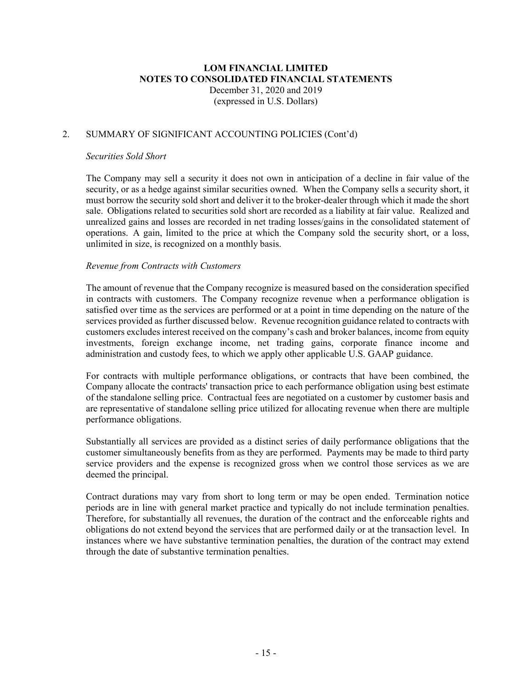#### 2. SUMMARY OF SIGNIFICANT ACCOUNTING POLICIES (Cont'd)

#### *Securities Sold Short*

The Company may sell a security it does not own in anticipation of a decline in fair value of the security, or as a hedge against similar securities owned. When the Company sells a security short, it must borrow the security sold short and deliver it to the broker-dealer through which it made the short sale. Obligations related to securities sold short are recorded as a liability at fair value. Realized and unrealized gains and losses are recorded in net trading losses/gains in the consolidated statement of operations. A gain, limited to the price at which the Company sold the security short, or a loss, unlimited in size, is recognized on a monthly basis.

#### *Revenue from Contracts with Customers*

The amount of revenue that the Company recognize is measured based on the consideration specified in contracts with customers. The Company recognize revenue when a performance obligation is satisfied over time as the services are performed or at a point in time depending on the nature of the services provided as further discussed below. Revenue recognition guidance related to contracts with customers excludes interest received on the company's cash and broker balances, income from equity investments, foreign exchange income, net trading gains, corporate finance income and administration and custody fees, to which we apply other applicable U.S. GAAP guidance.

For contracts with multiple performance obligations, or contracts that have been combined, the Company allocate the contracts' transaction price to each performance obligation using best estimate of the standalone selling price. Contractual fees are negotiated on a customer by customer basis and are representative of standalone selling price utilized for allocating revenue when there are multiple performance obligations.

Substantially all services are provided as a distinct series of daily performance obligations that the customer simultaneously benefits from as they are performed. Payments may be made to third party service providers and the expense is recognized gross when we control those services as we are deemed the principal.

Contract durations may vary from short to long term or may be open ended. Termination notice periods are in line with general market practice and typically do not include termination penalties. Therefore, for substantially all revenues, the duration of the contract and the enforceable rights and obligations do not extend beyond the services that are performed daily or at the transaction level. In instances where we have substantive termination penalties, the duration of the contract may extend through the date of substantive termination penalties.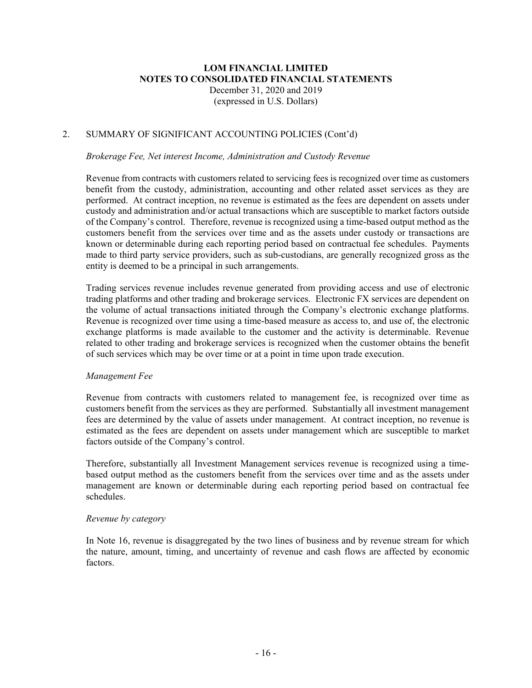#### 2. SUMMARY OF SIGNIFICANT ACCOUNTING POLICIES (Cont'd)

#### *Brokerage Fee, Net interest Income, Administration and Custody Revenue*

Revenue from contracts with customers related to servicing fees is recognized over time as customers benefit from the custody, administration, accounting and other related asset services as they are performed. At contract inception, no revenue is estimated as the fees are dependent on assets under custody and administration and/or actual transactions which are susceptible to market factors outside of the Company's control. Therefore, revenue is recognized using a time-based output method as the customers benefit from the services over time and as the assets under custody or transactions are known or determinable during each reporting period based on contractual fee schedules. Payments made to third party service providers, such as sub-custodians, are generally recognized gross as the entity is deemed to be a principal in such arrangements.

Trading services revenue includes revenue generated from providing access and use of electronic trading platforms and other trading and brokerage services. Electronic FX services are dependent on the volume of actual transactions initiated through the Company's electronic exchange platforms. Revenue is recognized over time using a time-based measure as access to, and use of, the electronic exchange platforms is made available to the customer and the activity is determinable. Revenue related to other trading and brokerage services is recognized when the customer obtains the benefit of such services which may be over time or at a point in time upon trade execution.

#### *Management Fee*

Revenue from contracts with customers related to management fee, is recognized over time as customers benefit from the services as they are performed. Substantially all investment management fees are determined by the value of assets under management. At contract inception, no revenue is estimated as the fees are dependent on assets under management which are susceptible to market factors outside of the Company's control.

Therefore, substantially all Investment Management services revenue is recognized using a timebased output method as the customers benefit from the services over time and as the assets under management are known or determinable during each reporting period based on contractual fee schedules.

#### *Revenue by category*

In Note 16, revenue is disaggregated by the two lines of business and by revenue stream for which the nature, amount, timing, and uncertainty of revenue and cash flows are affected by economic factors.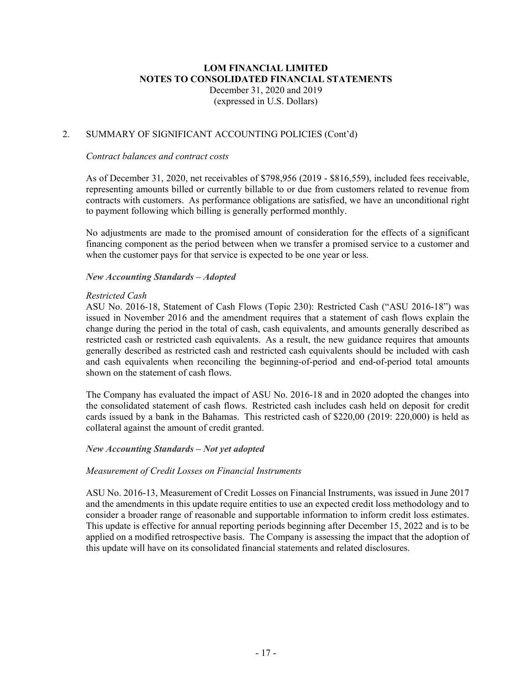#### 2. SUMMARY OF SIGNIFICANT ACCOUNTING POLICIES (Cont'd)

#### *Contract balances and contract costs*

As of December 31, 2020, net receivables of \$798,956 (2019 - \$816,559), included fees receivable, representing amounts billed or currently billable to or due from customers related to revenue from contracts with customers. As performance obligations are satisfied, we have an unconditional right to payment following which billing is generally performed monthly.

No adjustments are made to the promised amount of consideration for the effects of a significant financing component as the period between when we transfer a promised service to a customer and when the customer pays for that service is expected to be one year or less.

#### *New Accounting Standards – Adopted*

#### *Restricted Cash*

ASU No. 2016-18, Statement of Cash Flows (Topic 230): Restricted Cash ("ASU 2016-18") was issued in November 2016 and the amendment requires that a statement of cash flows explain the change during the period in the total of cash, cash equivalents, and amounts generally described as restricted cash or restricted cash equivalents. As a result, the new guidance requires that amounts generally described as restricted cash and restricted cash equivalents should be included with cash and cash equivalents when reconciling the beginning-of-period and end-of-period total amounts shown on the statement of cash flows.

The Company has evaluated the impact of ASU No. 2016-18 and in 2020 adopted the changes into the consolidated statement of cash flows. Restricted cash includes cash held on deposit for credit cards issued by a bank in the Bahamas. This restricted cash of \$220,00 (2019: 220,000) is held as collateral against the amount of credit granted.

#### *New Accounting Standards – Not yet adopted*

#### *Measurement of Credit Losses on Financial Instruments*

ASU No. 2016-13, Measurement of Credit Losses on Financial Instruments, was issued in June 2017 and the amendments in this update require entities to use an expected credit loss methodology and to consider a broader range of reasonable and supportable information to inform credit loss estimates. This update is effective for annual reporting periods beginning after December 15, 2022 and is to be applied on a modified retrospective basis. The Company is assessing the impact that the adoption of this update will have on its consolidated financial statements and related disclosures.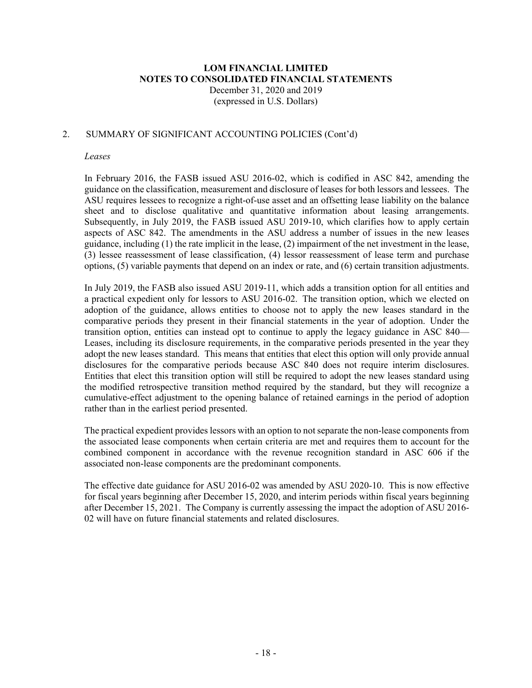#### 2. SUMMARY OF SIGNIFICANT ACCOUNTING POLICIES (Cont'd)

#### *Leases*

In February 2016, the FASB issued ASU 2016-02, which is codified in ASC 842, amending the guidance on the classification, measurement and disclosure of leases for both lessors and lessees. The ASU requires lessees to recognize a right-of-use asset and an offsetting lease liability on the balance sheet and to disclose qualitative and quantitative information about leasing arrangements. Subsequently, in July 2019, the FASB issued ASU 2019-10, which clarifies how to apply certain aspects of ASC 842. The amendments in the ASU address a number of issues in the new leases guidance, including (1) the rate implicit in the lease, (2) impairment of the net investment in the lease, (3) lessee reassessment of lease classification, (4) lessor reassessment of lease term and purchase options, (5) variable payments that depend on an index or rate, and (6) certain transition adjustments.

In July 2019, the FASB also issued ASU 2019-11, which adds a transition option for all entities and a practical expedient only for lessors to ASU 2016-02. The transition option, which we elected on adoption of the guidance, allows entities to choose not to apply the new leases standard in the comparative periods they present in their financial statements in the year of adoption. Under the transition option, entities can instead opt to continue to apply the legacy guidance in ASC 840— Leases, including its disclosure requirements, in the comparative periods presented in the year they adopt the new leases standard. This means that entities that elect this option will only provide annual disclosures for the comparative periods because ASC 840 does not require interim disclosures. Entities that elect this transition option will still be required to adopt the new leases standard using the modified retrospective transition method required by the standard, but they will recognize a cumulative-effect adjustment to the opening balance of retained earnings in the period of adoption rather than in the earliest period presented.

The practical expedient provides lessors with an option to not separate the non-lease components from the associated lease components when certain criteria are met and requires them to account for the combined component in accordance with the revenue recognition standard in ASC 606 if the associated non-lease components are the predominant components.

The effective date guidance for ASU 2016-02 was amended by ASU 2020-10. This is now effective for fiscal years beginning after December 15, 2020, and interim periods within fiscal years beginning after December 15, 2021. The Company is currently assessing the impact the adoption of ASU 2016- 02 will have on future financial statements and related disclosures.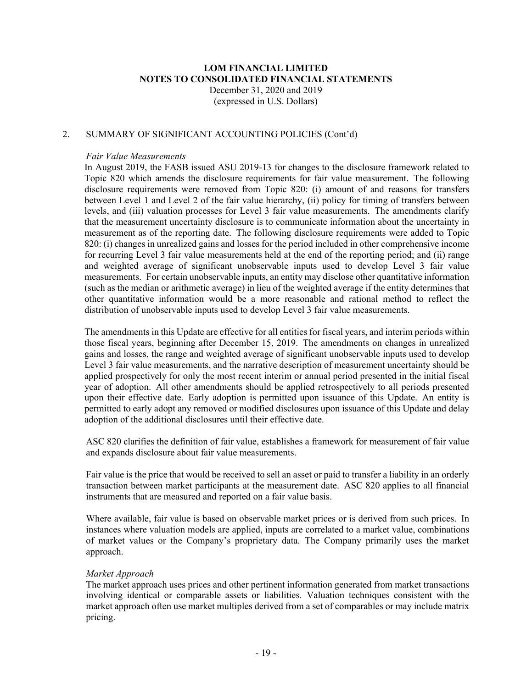#### 2. SUMMARY OF SIGNIFICANT ACCOUNTING POLICIES (Cont'd)

#### *Fair Value Measurements*

In August 2019, the FASB issued ASU 2019-13 for changes to the disclosure framework related to Topic 820 which amends the disclosure requirements for fair value measurement. The following disclosure requirements were removed from Topic 820: (i) amount of and reasons for transfers between Level 1 and Level 2 of the fair value hierarchy, (ii) policy for timing of transfers between levels, and (iii) valuation processes for Level 3 fair value measurements. The amendments clarify that the measurement uncertainty disclosure is to communicate information about the uncertainty in measurement as of the reporting date. The following disclosure requirements were added to Topic 820: (i) changes in unrealized gains and losses for the period included in other comprehensive income for recurring Level 3 fair value measurements held at the end of the reporting period; and (ii) range and weighted average of significant unobservable inputs used to develop Level 3 fair value measurements. For certain unobservable inputs, an entity may disclose other quantitative information (such as the median or arithmetic average) in lieu of the weighted average if the entity determines that other quantitative information would be a more reasonable and rational method to reflect the distribution of unobservable inputs used to develop Level 3 fair value measurements.

The amendments in this Update are effective for all entities for fiscal years, and interim periods within those fiscal years, beginning after December 15, 2019. The amendments on changes in unrealized gains and losses, the range and weighted average of significant unobservable inputs used to develop Level 3 fair value measurements, and the narrative description of measurement uncertainty should be applied prospectively for only the most recent interim or annual period presented in the initial fiscal year of adoption. All other amendments should be applied retrospectively to all periods presented upon their effective date. Early adoption is permitted upon issuance of this Update. An entity is permitted to early adopt any removed or modified disclosures upon issuance of this Update and delay adoption of the additional disclosures until their effective date.

ASC 820 clarifies the definition of fair value, establishes a framework for measurement of fair value and expands disclosure about fair value measurements.

Fair value is the price that would be received to sell an asset or paid to transfer a liability in an orderly transaction between market participants at the measurement date. ASC 820 applies to all financial instruments that are measured and reported on a fair value basis.

Where available, fair value is based on observable market prices or is derived from such prices. In instances where valuation models are applied, inputs are correlated to a market value, combinations of market values or the Company's proprietary data. The Company primarily uses the market approach.

#### *Market Approach*

The market approach uses prices and other pertinent information generated from market transactions involving identical or comparable assets or liabilities. Valuation techniques consistent with the market approach often use market multiples derived from a set of comparables or may include matrix pricing.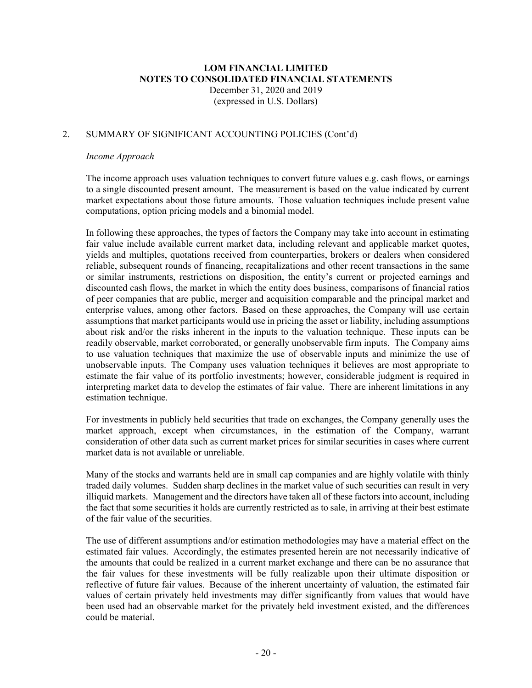#### 2. SUMMARY OF SIGNIFICANT ACCOUNTING POLICIES (Cont'd)

#### *Income Approach*

The income approach uses valuation techniques to convert future values e.g. cash flows, or earnings to a single discounted present amount. The measurement is based on the value indicated by current market expectations about those future amounts. Those valuation techniques include present value computations, option pricing models and a binomial model.

In following these approaches, the types of factors the Company may take into account in estimating fair value include available current market data, including relevant and applicable market quotes, yields and multiples, quotations received from counterparties, brokers or dealers when considered reliable, subsequent rounds of financing, recapitalizations and other recent transactions in the same or similar instruments, restrictions on disposition, the entity's current or projected earnings and discounted cash flows, the market in which the entity does business, comparisons of financial ratios of peer companies that are public, merger and acquisition comparable and the principal market and enterprise values, among other factors. Based on these approaches, the Company will use certain assumptions that market participants would use in pricing the asset or liability, including assumptions about risk and/or the risks inherent in the inputs to the valuation technique. These inputs can be readily observable, market corroborated, or generally unobservable firm inputs. The Company aims to use valuation techniques that maximize the use of observable inputs and minimize the use of unobservable inputs. The Company uses valuation techniques it believes are most appropriate to estimate the fair value of its portfolio investments; however, considerable judgment is required in interpreting market data to develop the estimates of fair value. There are inherent limitations in any estimation technique.

For investments in publicly held securities that trade on exchanges, the Company generally uses the market approach, except when circumstances, in the estimation of the Company, warrant consideration of other data such as current market prices for similar securities in cases where current market data is not available or unreliable.

Many of the stocks and warrants held are in small cap companies and are highly volatile with thinly traded daily volumes. Sudden sharp declines in the market value of such securities can result in very illiquid markets. Management and the directors have taken all of these factors into account, including the fact that some securities it holds are currently restricted as to sale, in arriving at their best estimate of the fair value of the securities.

The use of different assumptions and/or estimation methodologies may have a material effect on the estimated fair values. Accordingly, the estimates presented herein are not necessarily indicative of the amounts that could be realized in a current market exchange and there can be no assurance that the fair values for these investments will be fully realizable upon their ultimate disposition or reflective of future fair values. Because of the inherent uncertainty of valuation, the estimated fair values of certain privately held investments may differ significantly from values that would have been used had an observable market for the privately held investment existed, and the differences could be material.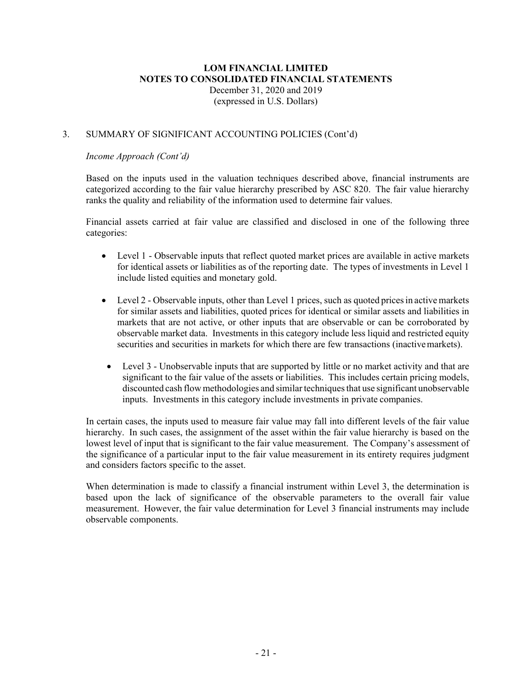#### 3. SUMMARY OF SIGNIFICANT ACCOUNTING POLICIES (Cont'd)

#### *Income Approach (Cont'd)*

Based on the inputs used in the valuation techniques described above, financial instruments are categorized according to the fair value hierarchy prescribed by ASC 820. The fair value hierarchy ranks the quality and reliability of the information used to determine fair values.

Financial assets carried at fair value are classified and disclosed in one of the following three categories:

- Level 1 Observable inputs that reflect quoted market prices are available in active markets for identical assets or liabilities as of the reporting date. The types of investments in Level 1 include listed equities and monetary gold.
- Level 2 Observable inputs, other than Level 1 prices, such as quoted prices in active markets for similar assets and liabilities, quoted prices for identical or similar assets and liabilities in markets that are not active, or other inputs that are observable or can be corroborated by observable market data. Investments in this category include less liquid and restricted equity securities and securities in markets for which there are few transactions (inactive markets).
- Level 3 Unobservable inputs that are supported by little or no market activity and that are significant to the fair value of the assets or liabilities. This includes certain pricing models, discounted cash flowmethodologies and similartechniquesthat use significant unobservable inputs. Investments in this category include investments in private companies.

In certain cases, the inputs used to measure fair value may fall into different levels of the fair value hierarchy. In such cases, the assignment of the asset within the fair value hierarchy is based on the lowest level of input that is significant to the fair value measurement. The Company's assessment of the significance of a particular input to the fair value measurement in its entirety requires judgment and considers factors specific to the asset.

When determination is made to classify a financial instrument within Level 3, the determination is based upon the lack of significance of the observable parameters to the overall fair value measurement. However, the fair value determination for Level 3 financial instruments may include observable components.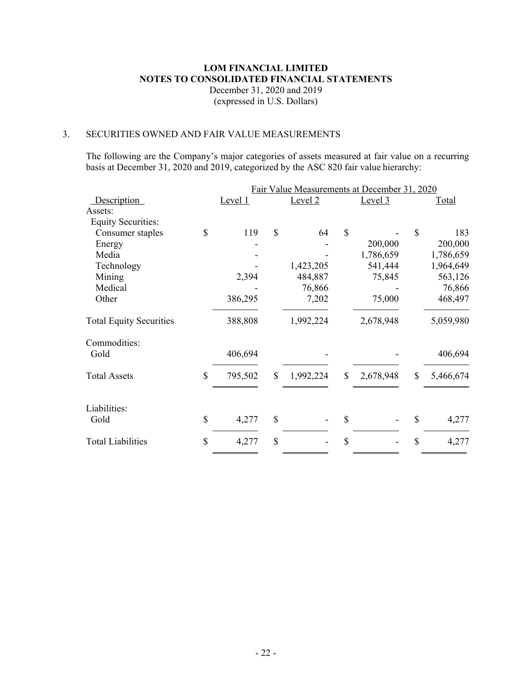#### 3. SECURITIES OWNED AND FAIR VALUE MEASUREMENTS

The following are the Company's major categories of assets measured at fair value on a recurring basis at December 31, 2020 and 2019, categorized by the ASC 820 fair value hierarchy:

| Fair Value Measurements at December 31, 2020 |              |           |               |           |    |           |
|----------------------------------------------|--------------|-----------|---------------|-----------|----|-----------|
| Level 1                                      |              | Level $2$ |               | Level 3   |    | Total     |
|                                              |              |           |               |           |    |           |
|                                              |              |           |               |           |    |           |
| 119                                          | $\mathbb{S}$ | 64        | $\mathbb{S}$  |           | \$ | 183       |
|                                              |              |           |               | 200,000   |    | 200,000   |
|                                              |              |           |               | 1,786,659 |    | 1,786,659 |
|                                              |              | 1,423,205 |               | 541,444   |    | 1,964,649 |
| 2,394                                        |              | 484,887   |               | 75,845    |    | 563,126   |
|                                              |              | 76,866    |               |           |    | 76,866    |
| 386,295                                      |              | 7,202     |               | 75,000    |    | 468,497   |
| 388,808                                      |              | 1,992,224 |               | 2,678,948 |    | 5,059,980 |
|                                              |              |           |               |           |    |           |
| 406,694                                      |              |           |               |           |    | 406,694   |
| 795,502                                      | \$           | 1,992,224 | $\mathcal{S}$ | 2,678,948 | \$ | 5,466,674 |
|                                              |              |           |               |           |    |           |
| 4,277                                        | \$           |           | \$            |           | \$ | 4,277     |
| 4,277                                        | \$           |           | \$            |           | \$ | 4,277     |
|                                              |              |           |               |           |    |           |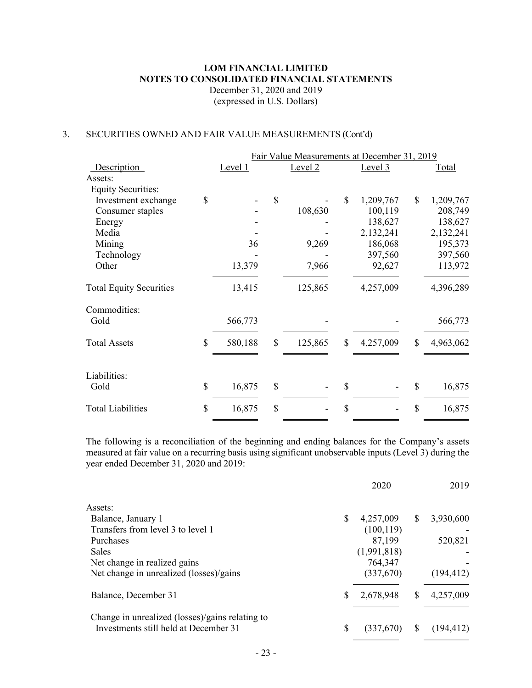#### 3. SECURITIES OWNED AND FAIR VALUE MEASUREMENTS (Cont'd)

|                                | Fair Value Measurements at December 31, 2019 |               |           |               |           |              |           |
|--------------------------------|----------------------------------------------|---------------|-----------|---------------|-----------|--------------|-----------|
| Description                    | Level 1                                      |               | Level $2$ |               | Level 3   |              | Total     |
| Assets:                        |                                              |               |           |               |           |              |           |
| <b>Equity Securities:</b>      |                                              |               |           |               |           |              |           |
| Investment exchange            | \$                                           | $\mathcal{S}$ |           | $\mathcal{S}$ | 1,209,767 | $\mathbb{S}$ | 1,209,767 |
| Consumer staples               |                                              |               | 108,630   |               | 100,119   |              | 208,749   |
| Energy                         |                                              |               |           |               | 138,627   |              | 138,627   |
| Media                          |                                              |               |           |               | 2,132,241 |              | 2,132,241 |
| Mining                         | 36                                           |               | 9,269     |               | 186,068   |              | 195,373   |
| Technology                     |                                              |               |           |               | 397,560   |              | 397,560   |
| Other                          | 13,379                                       |               | 7,966     |               | 92,627    |              | 113,972   |
| <b>Total Equity Securities</b> | 13,415                                       |               | 125,865   |               | 4,257,009 |              | 4,396,289 |
| Commodities:                   |                                              |               |           |               |           |              |           |
| Gold                           | 566,773                                      |               |           |               |           |              | 566,773   |
| <b>Total Assets</b>            | \$<br>580,188                                | \$            | 125,865   | $\mathbb{S}$  | 4,257,009 | \$           | 4,963,062 |
| Liabilities:                   |                                              |               |           |               |           |              |           |
| Gold                           | \$<br>16,875                                 | \$            |           | $\mathcal{S}$ |           | \$           | 16,875    |
| <b>Total Liabilities</b>       | \$<br>16,875                                 | \$            |           | $\mathcal{S}$ |           | \$           | 16,875    |

The following is a reconciliation of the beginning and ending balances for the Company's assets measured at fair value on a recurring basis using significant unobservable inputs (Level 3) during the year ended December 31, 2020 and 2019:

|                                                                                          |    | 2020        |          | 2019       |
|------------------------------------------------------------------------------------------|----|-------------|----------|------------|
| Assets:                                                                                  |    |             |          |            |
| Balance, January 1                                                                       | \$ | 4,257,009   | S        | 3,930,600  |
| Transfers from level 3 to level 1                                                        |    | (100, 119)  |          |            |
| Purchases                                                                                |    | 87,199      |          | 520,821    |
| <b>Sales</b>                                                                             |    | (1,991,818) |          |            |
| Net change in realized gains                                                             |    | 764,347     |          |            |
| Net change in unrealized (losses)/gains                                                  |    | (337,670)   |          | (194, 412) |
| Balance, December 31                                                                     | S  | 2,678,948   | \$       | 4,257,009  |
| Change in unrealized (losses)/gains relating to<br>Investments still held at December 31 | \$ | (337,670)   | <b>S</b> | (194, 412) |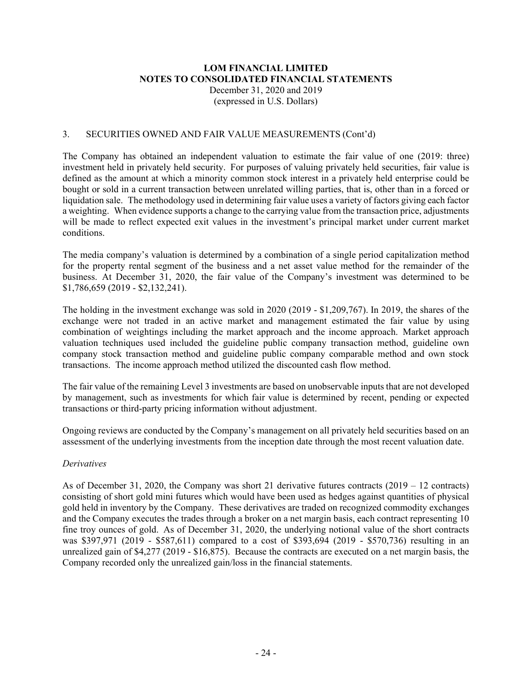#### 3. SECURITIES OWNED AND FAIR VALUE MEASUREMENTS (Cont'd)

The Company has obtained an independent valuation to estimate the fair value of one (2019: three) investment held in privately held security. For purposes of valuing privately held securities, fair value is defined as the amount at which a minority common stock interest in a privately held enterprise could be bought or sold in a current transaction between unrelated willing parties, that is, other than in a forced or liquidation sale. The methodology used in determining fair value uses a variety of factors giving each factor a weighting. When evidence supports a change to the carrying value from the transaction price, adjustments will be made to reflect expected exit values in the investment's principal market under current market conditions.

The media company's valuation is determined by a combination of a single period capitalization method for the property rental segment of the business and a net asset value method for the remainder of the business. At December 31, 2020, the fair value of the Company's investment was determined to be \$1,786,659 (2019 - \$2,132,241).

The holding in the investment exchange was sold in 2020 (2019 - \$1,209,767). In 2019, the shares of the exchange were not traded in an active market and management estimated the fair value by using combination of weightings including the market approach and the income approach. Market approach valuation techniques used included the guideline public company transaction method, guideline own company stock transaction method and guideline public company comparable method and own stock transactions. The income approach method utilized the discounted cash flow method.

The fair value of the remaining Level 3 investments are based on unobservable inputs that are not developed by management, such as investments for which fair value is determined by recent, pending or expected transactions or third-party pricing information without adjustment.

Ongoing reviews are conducted by the Company's management on all privately held securities based on an assessment of the underlying investments from the inception date through the most recent valuation date.

#### *Derivatives*

As of December 31, 2020, the Company was short 21 derivative futures contracts  $(2019 - 12 \text{ contracts})$ consisting of short gold mini futures which would have been used as hedges against quantities of physical gold held in inventory by the Company. These derivatives are traded on recognized commodity exchanges and the Company executes the trades through a broker on a net margin basis, each contract representing 10 fine troy ounces of gold. As of December 31, 2020, the underlying notional value of the short contracts was \$397,971 (2019 - \$587,611) compared to a cost of \$393,694 (2019 - \$570,736) resulting in an unrealized gain of \$4,277 (2019 - \$16,875). Because the contracts are executed on a net margin basis, the Company recorded only the unrealized gain/loss in the financial statements.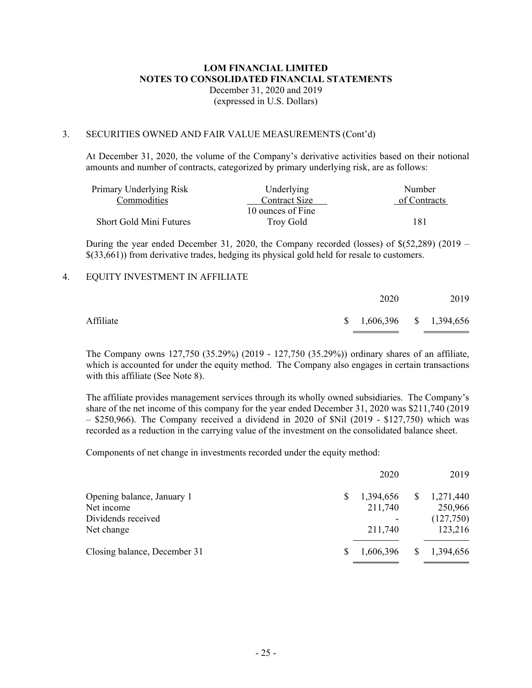#### 3. SECURITIES OWNED AND FAIR VALUE MEASUREMENTS (Cont'd)

At December 31, 2020, the volume of the Company's derivative activities based on their notional amounts and number of contracts, categorized by primary underlying risk, are as follows:

| Primary Underlying Risk        | Underlying        | Number       |
|--------------------------------|-------------------|--------------|
| Commodities                    | Contract Size     | of Contracts |
|                                | 10 ounces of Fine |              |
| <b>Short Gold Mini Futures</b> | Trov Gold         | 181          |

During the year ended December 31, 2020, the Company recorded (losses) of \$(52,289) (2019 – \$(33,661)) from derivative trades, hedging its physical gold held for resale to customers.

#### 4. EQUITY INVESTMENT IN AFFILIATE

|           | 2020                      | 2019 |
|-----------|---------------------------|------|
| Affiliate | $$1,606,396$ $$1,394,656$ |      |

The Company owns 127,750 (35.29%) (2019 - 127,750 (35.29%)) ordinary shares of an affiliate, which is accounted for under the equity method. The Company also engages in certain transactions with this affiliate (See Note 8).

The affiliate provides management services through its wholly owned subsidiaries. The Company's share of the net income of this company for the year ended December 31, 2020 was \$211,740 (2019  $-$  \$250,966). The Company received a dividend in 2020 of \$Nil (2019 - \$127,750) which was recorded as a reduction in the carrying value of the investment on the consolidated balance sheet.

Components of net change in investments recorded under the equity method:

|                              | 2020      |    | 2019      |
|------------------------------|-----------|----|-----------|
| Opening balance, January 1   | 1,394,656 | \$ | 1,271,440 |
| Net income                   | 211,740   |    | 250,966   |
| Dividends received           |           |    | (127,750) |
| Net change                   | 211,740   |    | 123,216   |
| Closing balance, December 31 | 1,606,396 | S. | 1,394,656 |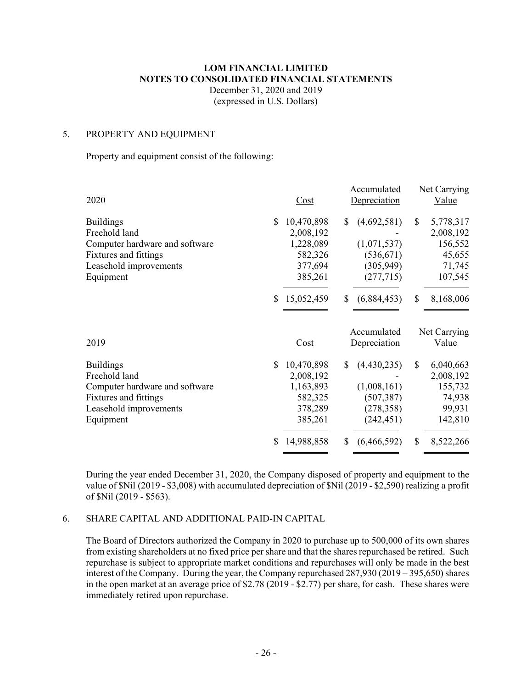# **LOM FINANCIAL LIMITED NOTES TO CONSOLIDATED FINANCIAL STATEMENTS**

December 31, 2020 and 2019 (expressed in U.S. Dollars)

#### 5. PROPERTY AND EQUIPMENT

Property and equipment consist of the following:

|                                     |     |            |              | Accumulated  |              | Net Carrying |
|-------------------------------------|-----|------------|--------------|--------------|--------------|--------------|
| 2020                                |     | Cost       |              | Depreciation |              | Value        |
| <b>Buildings</b>                    | \$. | 10,470,898 | <sup>S</sup> | (4,692,581)  | \$           | 5,778,317    |
| Freehold land                       |     | 2,008,192  |              |              |              | 2,008,192    |
| Computer hardware and software      |     | 1,228,089  |              | (1,071,537)  |              | 156,552      |
| Fixtures and fittings               |     | 582,326    |              | (536, 671)   |              | 45,655       |
| Leasehold improvements              |     | 377,694    |              | (305, 949)   |              | 71,745       |
| Equipment                           |     | 385,261    |              | (277, 715)   |              | 107,545      |
|                                     | \$. | 15,052,459 | \$.          | (6,884,453)  | $\mathbb{S}$ | 8,168,006    |
|                                     |     |            |              | Accumulated  |              | Net Carrying |
| 2019                                |     | Cost       |              | Depreciation |              | Value        |
|                                     |     |            |              |              |              |              |
| <b>Buildings</b>                    | \$. | 10,470,898 | \$.          |              | \$           | 6,040,663    |
| Freehold land                       |     | 2,008,192  |              | (4,430,235)  |              | 2,008,192    |
| Computer hardware and software      |     | 1,163,893  |              | (1,008,161)  |              | 155,732      |
| Fixtures and fittings               |     | 582,325    |              | (507, 387)   |              | 74,938       |
|                                     |     | 378,289    |              | (278, 358)   |              | 99,931       |
| Leasehold improvements<br>Equipment |     | 385,261    |              | (242, 451)   |              | 142,810      |
|                                     | \$  | 14,988,858 | \$           | (6,466,592)  | \$           | 8,522,266    |

During the year ended December 31, 2020, the Company disposed of property and equipment to the value of \$Nil (2019 - \$3,008) with accumulated depreciation of \$Nil (2019 - \$2,590) realizing a profit of \$Nil (2019 - \$563).

#### 6. SHARE CAPITAL AND ADDITIONAL PAID-IN CAPITAL

The Board of Directors authorized the Company in 2020 to purchase up to 500,000 of its own shares from existing shareholders at no fixed price per share and that the shares repurchased be retired. Such repurchase is subject to appropriate market conditions and repurchases will only be made in the best interest of the Company. During the year, the Company repurchased  $287,930$  ( $2019 - 395,650$ ) shares in the open market at an average price of \$2.78 (2019 - \$2.77) per share, for cash. These shares were immediately retired upon repurchase.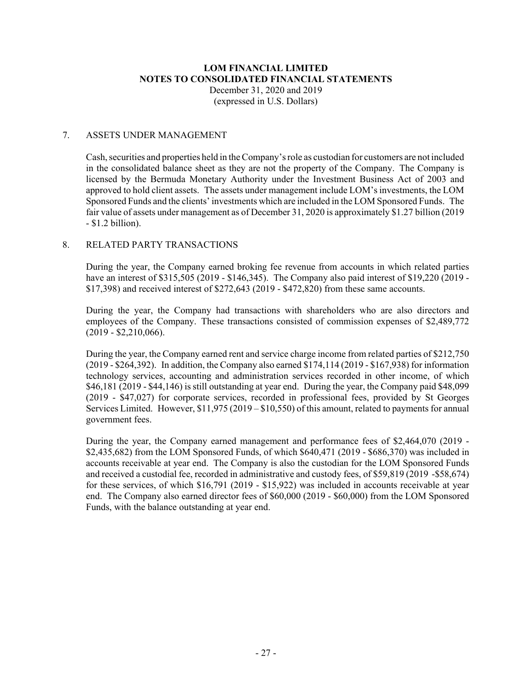#### **LOM FINANCIAL LIMITED NOTES TO CONSOLIDATED FINANCIAL STATEMENTS** December 31, 2020 and 2019

(expressed in U.S. Dollars)

#### 7. ASSETS UNDER MANAGEMENT

Cash,securities and properties held in theCompany'srole as custodian for customers are not included in the consolidated balance sheet as they are not the property of the Company. The Company is licensed by the Bermuda Monetary Authority under the Investment Business Act of 2003 and approved to hold client assets. The assets under management include LOM's investments, the LOM Sponsored Funds and the clients' investments which are included in the LOM Sponsored Funds. The fair value of assets under management as of December 31, 2020 is approximately \$1.27 billion (2019 - \$1.2 billion).

# 8. RELATED PARTY TRANSACTIONS

During the year, the Company earned broking fee revenue from accounts in which related parties have an interest of \$315,505 (2019 - \$146,345). The Company also paid interest of \$19,220 (2019 - \$17,398) and received interest of \$272,643 (2019 - \$472,820) from these same accounts.

During the year, the Company had transactions with shareholders who are also directors and employees of the Company. These transactions consisted of commission expenses of \$2,489,772 (2019 - \$2,210,066).

During the year, the Company earned rent and service charge income from related parties of \$212,750 (2019 - \$264,392). In addition, the Company also earned \$174,114 (2019 - \$167,938) for information technology services, accounting and administration services recorded in other income, of which \$46,181 (2019 - \$44,146) is still outstanding at year end. During the year, the Company paid \$48,099 (2019 - \$47,027) for corporate services, recorded in professional fees, provided by St Georges Services Limited. However, \$11,975 (2019 – \$10,550) of this amount, related to payments for annual government fees.

During the year, the Company earned management and performance fees of \$2,464,070 (2019 - \$2,435,682) from the LOM Sponsored Funds, of which \$640,471 (2019 - \$686,370) was included in accounts receivable at year end. The Company is also the custodian for the LOM Sponsored Funds and received a custodial fee, recorded in administrative and custody fees, of \$59,819 (2019 -\$58,674) for these services, of which \$16,791 (2019 - \$15,922) was included in accounts receivable at year end. The Company also earned director fees of \$60,000 (2019 - \$60,000) from the LOM Sponsored Funds, with the balance outstanding at year end.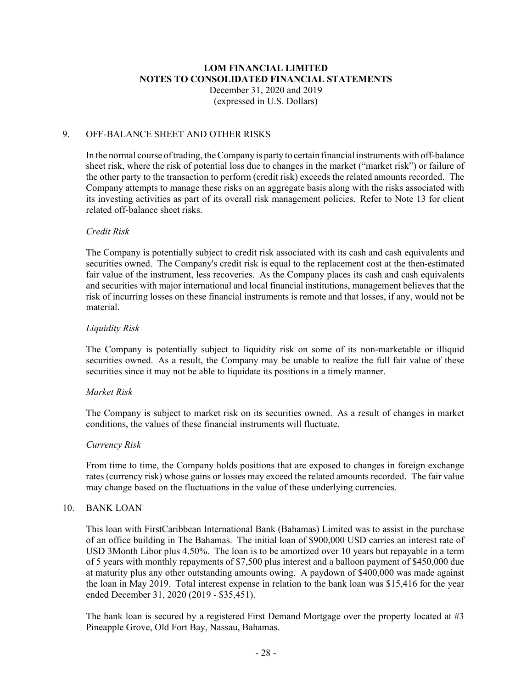#### 9. OFF-BALANCE SHEET AND OTHER RISKS

In the normal course oftrading, theCompany is party to certain financial instruments with off-balance sheet risk, where the risk of potential loss due to changes in the market ("market risk") or failure of the other party to the transaction to perform (credit risk) exceeds the related amounts recorded. The Company attempts to manage these risks on an aggregate basis along with the risks associated with its investing activities as part of its overall risk management policies. Refer to Note 13 for client related off-balance sheet risks.

#### *Credit Risk*

The Company is potentially subject to credit risk associated with its cash and cash equivalents and securities owned. The Company's credit risk is equal to the replacement cost at the then-estimated fair value of the instrument, less recoveries. As the Company places its cash and cash equivalents and securities with major international and local financial institutions, management believes that the risk of incurring losses on these financial instruments is remote and that losses, if any, would not be material.

#### *Liquidity Risk*

The Company is potentially subject to liquidity risk on some of its non-marketable or illiquid securities owned. As a result, the Company may be unable to realize the full fair value of these securities since it may not be able to liquidate its positions in a timely manner.

#### *Market Risk*

The Company is subject to market risk on its securities owned. As a result of changes in market conditions, the values of these financial instruments will fluctuate.

#### *Currency Risk*

From time to time, the Company holds positions that are exposed to changes in foreign exchange rates (currency risk) whose gains or losses may exceed the related amounts recorded. The fair value may change based on the fluctuations in the value of these underlying currencies.

#### 10. BANK LOAN

This loan with FirstCaribbean International Bank (Bahamas) Limited was to assist in the purchase of an office building in The Bahamas. The initial loan of \$900,000 USD carries an interest rate of USD 3Month Libor plus 4.50%. The loan is to be amortized over 10 years but repayable in a term of 5 years with monthly repayments of \$7,500 plus interest and a balloon payment of \$450,000 due at maturity plus any other outstanding amounts owing. A paydown of \$400,000 was made against the loan in May 2019. Total interest expense in relation to the bank loan was \$15,416 for the year ended December 31, 2020 (2019 - \$35,451).

The bank loan is secured by a registered First Demand Mortgage over the property located at #3 Pineapple Grove, Old Fort Bay, Nassau, Bahamas.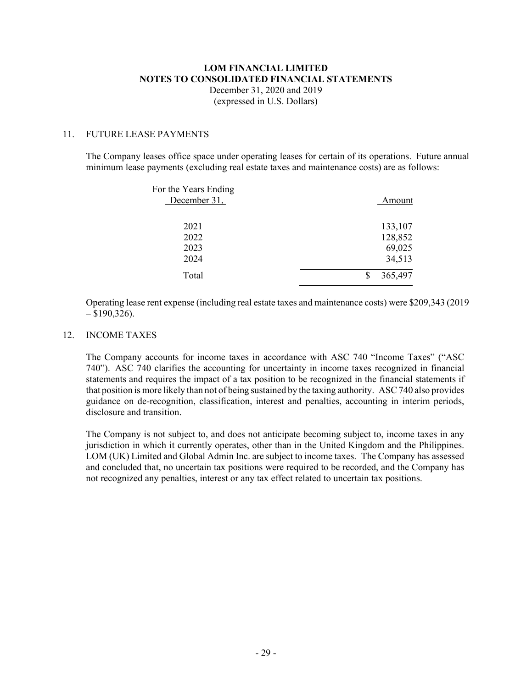# **LOM FINANCIAL LIMITED NOTES TO CONSOLIDATED FINANCIAL STATEMENTS** December 31, 2020 and 2019

(expressed in U.S. Dollars)

# 11. FUTURE LEASE PAYMENTS

The Company leases office space under operating leases for certain of its operations. Future annual minimum lease payments (excluding real estate taxes and maintenance costs) are as follows:

| For the Years Ending<br>December 31, | Amount                                 |
|--------------------------------------|----------------------------------------|
| 2021<br>2022<br>2023<br>2024         | 133,107<br>128,852<br>69,025<br>34,513 |
| Total                                | 365,497                                |

Operating lease rent expense (including real estate taxes and maintenance costs) were \$209,343 (2019  $-$  \$190,326).

#### 12. INCOME TAXES

The Company accounts for income taxes in accordance with ASC 740 "Income Taxes" ("ASC 740"). ASC 740 clarifies the accounting for uncertainty in income taxes recognized in financial statements and requires the impact of a tax position to be recognized in the financial statements if that position is more likely than not of being sustained by the taxing authority. ASC740 also provides guidance on de-recognition, classification, interest and penalties, accounting in interim periods, disclosure and transition.

The Company is not subject to, and does not anticipate becoming subject to, income taxes in any jurisdiction in which it currently operates, other than in the United Kingdom and the Philippines. LOM (UK) Limited and Global Admin Inc. are subject to income taxes. The Company has assessed and concluded that, no uncertain tax positions were required to be recorded, and the Company has not recognized any penalties, interest or any tax effect related to uncertain tax positions.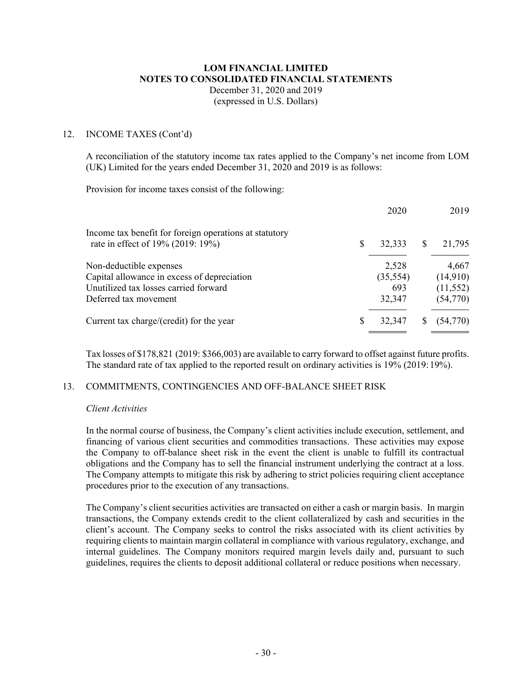# **LOM FINANCIAL LIMITED NOTES TO CONSOLIDATED FINANCIAL STATEMENTS** December 31, 2020 and 2019

(expressed in U.S. Dollars)

#### 12. INCOME TAXES (Cont'd)

A reconciliation of the statutory income tax rates applied to the Company's net income from LOM (UK) Limited for the years ended December 31, 2020 and 2019 is as follows:

Provision for income taxes consist of the following:

|                                                                                             |    | 2020      |   | 2019      |
|---------------------------------------------------------------------------------------------|----|-----------|---|-----------|
| Income tax benefit for foreign operations at statutory<br>rate in effect of 19% (2019: 19%) | \$ | 32,333    | S | 21,795    |
| Non-deductible expenses                                                                     |    | 2,528     |   | 4,667     |
| Capital allowance in excess of depreciation                                                 |    | (35, 554) |   | (14,910)  |
| Unutilized tax losses carried forward                                                       |    | 693       |   | (11, 552) |
| Deferred tax movement                                                                       |    | 32,347    |   | (54, 770) |
| Current tax charge/(credit) for the year                                                    | S  | 32,347    |   | (54,770)  |

Tax losses of \$178,821 (2019: \$366,003) are available to carry forward to offset against future profits. The standard rate of tax applied to the reported result on ordinary activities is 19% (2019: 19%).

#### 13. COMMITMENTS, CONTINGENCIES AND OFF-BALANCE SHEET RISK

#### *Client Activities*

In the normal course of business, the Company's client activities include execution, settlement, and financing of various client securities and commodities transactions. These activities may expose the Company to off-balance sheet risk in the event the client is unable to fulfill its contractual obligations and the Company has to sell the financial instrument underlying the contract at a loss. The Company attempts to mitigate this risk by adhering to strict policies requiring client acceptance procedures prior to the execution of any transactions.

The Company's client securities activities are transacted on either a cash or margin basis. In margin transactions, the Company extends credit to the client collateralized by cash and securities in the client's account. The Company seeks to control the risks associated with its client activities by requiring clients to maintain margin collateral in compliance with various regulatory, exchange, and internal guidelines. The Company monitors required margin levels daily and, pursuant to such guidelines, requires the clients to deposit additional collateral or reduce positions when necessary.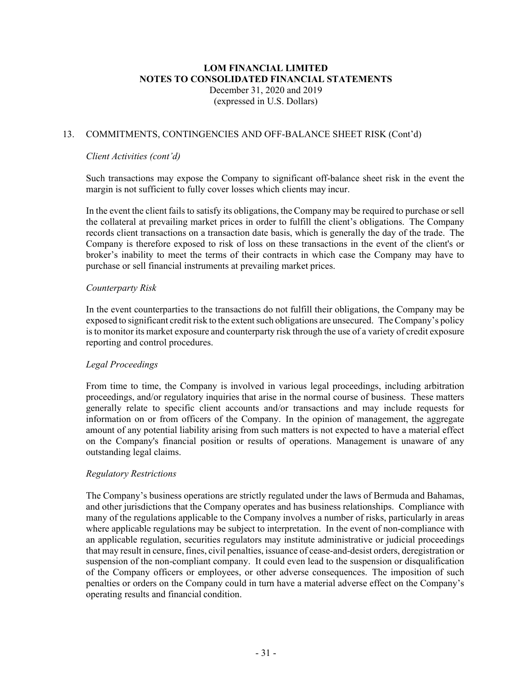#### 13. COMMITMENTS, CONTINGENCIES AND OFF-BALANCE SHEET RISK (Cont'd)

#### *Client Activities (cont'd)*

Such transactions may expose the Company to significant off-balance sheet risk in the event the margin is not sufficient to fully cover losses which clients may incur.

In the event the client fails to satisfy its obligations, the Company may be required to purchase orsell the collateral at prevailing market prices in order to fulfill the client's obligations. The Company records client transactions on a transaction date basis, which is generally the day of the trade. The Company is therefore exposed to risk of loss on these transactions in the event of the client's or broker's inability to meet the terms of their contracts in which case the Company may have to purchase or sell financial instruments at prevailing market prices.

#### *Counterparty Risk*

In the event counterparties to the transactions do not fulfill their obligations, the Company may be exposed to significant credit risk to the extent such obligations are unsecured. The Company's policy is to monitor its market exposure and counterparty risk through the use of a variety of credit exposure reporting and control procedures.

#### *Legal Proceedings*

From time to time, the Company is involved in various legal proceedings, including arbitration proceedings, and/or regulatory inquiries that arise in the normal course of business. These matters generally relate to specific client accounts and/or transactions and may include requests for information on or from officers of the Company. In the opinion of management, the aggregate amount of any potential liability arising from such matters is not expected to have a material effect on the Company's financial position or results of operations. Management is unaware of any outstanding legal claims.

#### *Regulatory Restrictions*

The Company's business operations are strictly regulated under the laws of Bermuda and Bahamas, and other jurisdictions that the Company operates and has business relationships. Compliance with many of the regulations applicable to the Company involves a number of risks, particularly in areas where applicable regulations may be subject to interpretation. In the event of non-compliance with an applicable regulation, securities regulators may institute administrative or judicial proceedings that may result in censure, fines, civil penalties, issuance of cease-and-desist orders, deregistration or suspension of the non-compliant company. It could even lead to the suspension or disqualification of the Company officers or employees, or other adverse consequences. The imposition of such penalties or orders on the Company could in turn have a material adverse effect on the Company's operating results and financial condition.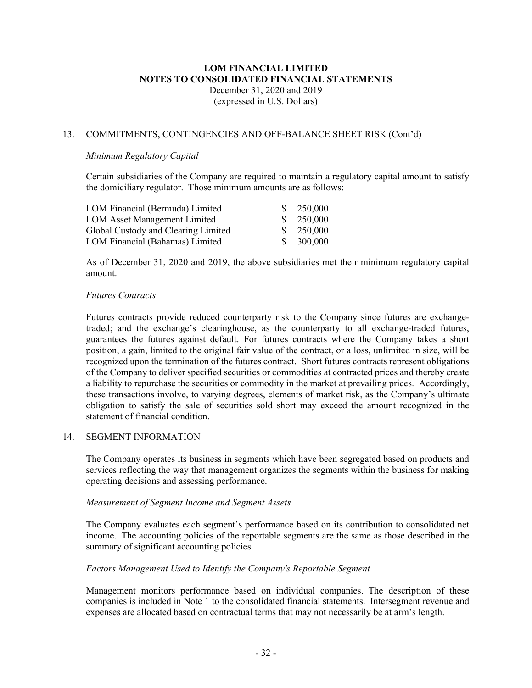#### 13. COMMITMENTS, CONTINGENCIES AND OFF-BALANCE SHEET RISK (Cont'd)

#### *Minimum Regulatory Capital*

Certain subsidiaries of the Company are required to maintain a regulatory capital amount to satisfy the domiciliary regulator. Those minimum amounts are as follows:

| LOM Financial (Bermuda) Limited     | \$250,000 |
|-------------------------------------|-----------|
| <b>LOM Asset Management Limited</b> | \$250,000 |
| Global Custody and Clearing Limited | \$250,000 |
| LOM Financial (Bahamas) Limited     | \$300,000 |

As of December 31, 2020 and 2019, the above subsidiaries met their minimum regulatory capital amount.

#### *Futures Contracts*

Futures contracts provide reduced counterparty risk to the Company since futures are exchangetraded; and the exchange's clearinghouse, as the counterparty to all exchange-traded futures, guarantees the futures against default. For futures contracts where the Company takes a short position, a gain, limited to the original fair value of the contract, or a loss, unlimited in size, will be recognized upon the termination of the futures contract. Short futures contracts represent obligations of the Company to deliver specified securities or commodities at contracted prices and thereby create a liability to repurchase the securities or commodity in the market at prevailing prices. Accordingly, these transactions involve, to varying degrees, elements of market risk, as the Company's ultimate obligation to satisfy the sale of securities sold short may exceed the amount recognized in the statement of financial condition.

#### 14. SEGMENT INFORMATION

The Company operates its business in segments which have been segregated based on products and services reflecting the way that management organizes the segments within the business for making operating decisions and assessing performance.

#### *Measurement of Segment Income and Segment Assets*

The Company evaluates each segment's performance based on its contribution to consolidated net income. The accounting policies of the reportable segments are the same as those described in the summary of significant accounting policies.

#### *Factors Management Used to Identify the Company's Reportable Segment*

Management monitors performance based on individual companies. The description of these companies is included in Note 1 to the consolidated financial statements. Intersegment revenue and expenses are allocated based on contractual terms that may not necessarily be at arm's length.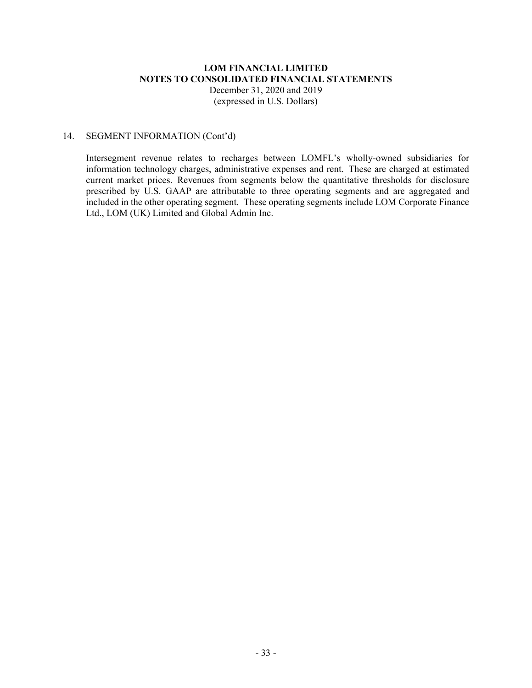#### **LOM FINANCIAL LIMITED NOTES TO CONSOLIDATED FINANCIAL STATEMENTS** December 31, 2020 and 2019

(expressed in U.S. Dollars)

#### 14. SEGMENT INFORMATION (Cont'd)

Intersegment revenue relates to recharges between LOMFL's wholly-owned subsidiaries for information technology charges, administrative expenses and rent. These are charged at estimated current market prices. Revenues from segments below the quantitative thresholds for disclosure prescribed by U.S. GAAP are attributable to three operating segments and are aggregated and included in the other operating segment. These operating segments include LOM Corporate Finance Ltd., LOM (UK) Limited and Global Admin Inc.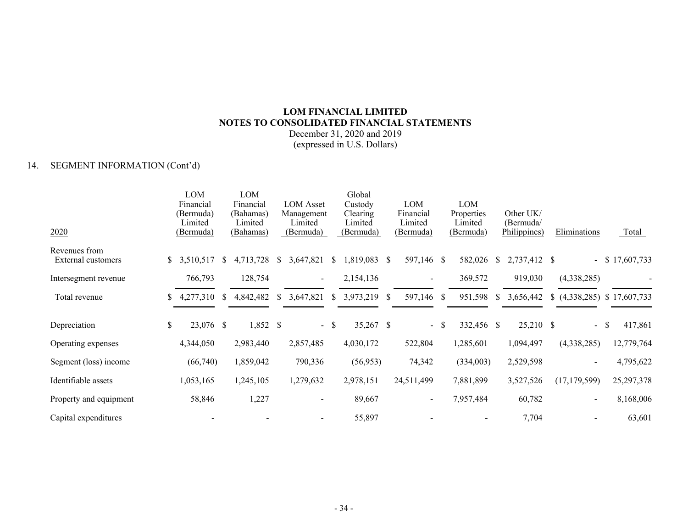# **LOM FINANCIAL LIMITED NOTES TO CONSOLIDATED FINANCIAL STATEMENTS**

December 31, 2020 and 2019 (expressed in U.S. Dollars)

# 14. SEGMENT INFORMATION (Cont'd)

|                                     |    | LOM<br>Financial                         |              | <b>LOM</b><br>Financial           |              | <b>LOM</b> Asset                   |               | Global<br>Custody                |    | <b>LOM</b>                        |     | LOM                                |               |                                        |                             |                   |
|-------------------------------------|----|------------------------------------------|--------------|-----------------------------------|--------------|------------------------------------|---------------|----------------------------------|----|-----------------------------------|-----|------------------------------------|---------------|----------------------------------------|-----------------------------|-------------------|
| 2020                                |    | (Bermuda)<br>Limited<br><u>(Bermuda)</u> |              | (Bahamas)<br>Limited<br>(Bahamas) |              | Management<br>Limited<br>(Bermuda) |               | Clearing<br>Limited<br>(Bermuda) |    | Financial<br>Limited<br>(Bermuda) |     | Properties<br>Limited<br>(Bermuda) |               | Other UK/<br>(Bermuda/<br>Philippines) | Eliminations                | <b>Total</b>      |
| Revenues from<br>External customers |    | \$3,510,517                              | <sup>S</sup> | 4,713,728                         | \$           | 3,647,821                          | \$            | 1,819,083                        | -S | 597,146 \$                        |     | 582,026                            | <sup>\$</sup> | 2,737,412 \$                           |                             | $-$ \$ 17,607,733 |
| Intersegment revenue                |    | 766,793                                  |              | 128,754                           |              |                                    |               | 2,154,136                        |    | $\sim$                            |     | 369,572                            |               | 919,030                                | (4,338,285)                 |                   |
| Total revenue                       | S. | 4,277,310                                | <sup>S</sup> | 4,842,482                         | <sup>S</sup> | 3,647,821                          | $\mathcal{S}$ | 3,973,219 \$                     |    | 597,146 \$                        |     | 951,598                            | <sup>S</sup>  | 3,656,442                              | $(4,338,285)$ \$ 17,607,733 |                   |
| Depreciation                        | \$ | 23,076 \$                                |              | 1,852 \$                          |              |                                    | $-$ \$        | 35,267 \$                        |    | $\sim$                            | - S | 332,456 \$                         |               | 25,210 \$                              | $-$ \$                      | 417,861           |
| Operating expenses                  |    | 4,344,050                                |              | 2,983,440                         |              | 2,857,485                          |               | 4,030,172                        |    | 522,804                           |     | 1,285,601                          |               | 1,094,497                              | (4,338,285)                 | 12,779,764        |
| Segment (loss) income               |    | (66,740)                                 |              | 1,859,042                         |              | 790,336                            |               | (56, 953)                        |    | 74,342                            |     | (334,003)                          |               | 2,529,598                              |                             | 4,795,622         |
| Identifiable assets                 |    | 1,053,165                                |              | 1,245,105                         |              | 1,279,632                          |               | 2,978,151                        |    | 24,511,499                        |     | 7,881,899                          |               | 3,527,526                              | (17, 179, 599)              | 25,297,378        |
| Property and equipment              |    | 58,846                                   |              | 1,227                             |              |                                    |               | 89,667                           |    |                                   |     | 7,957,484                          |               | 60,782                                 |                             | 8,168,006         |
| Capital expenditures                |    |                                          |              |                                   |              |                                    |               | 55,897                           |    |                                   |     |                                    |               | 7,704                                  |                             | 63,601            |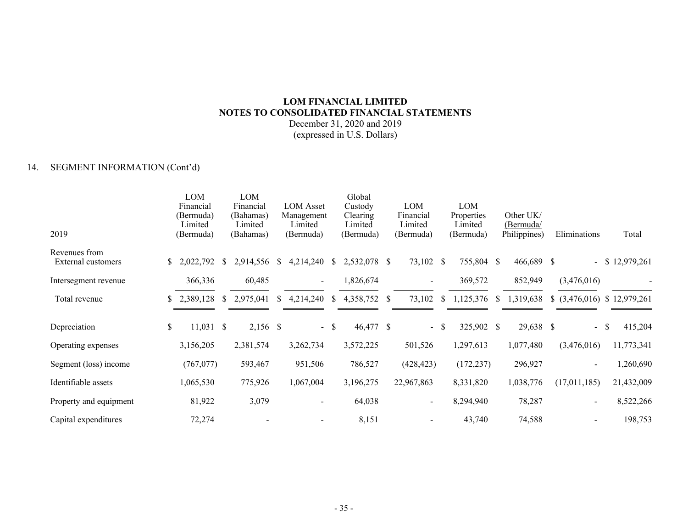# **LOM FINANCIAL LIMITED NOTES TO CONSOLIDATED FINANCIAL STATEMENTS**

December 31, 2020 and 2019 (expressed in U.S. Dollars)

# 14. SEGMENT INFORMATION (Cont'd)

|                        |              | LOM         |              | LOM        |    |                  |              | Global       |                          |              |            |              |              |                                |                   |
|------------------------|--------------|-------------|--------------|------------|----|------------------|--------------|--------------|--------------------------|--------------|------------|--------------|--------------|--------------------------------|-------------------|
|                        |              | Financial   |              | Financial  |    | <b>LOM</b> Asset |              | Custody      | LOM                      |              | LOM        |              |              |                                |                   |
|                        |              | (Bermuda)   |              | (Bahamas)  |    | Management       |              | Clearing     | Financial                |              | Properties |              | Other UK/    |                                |                   |
|                        |              | Limited     |              | Limited    |    | Limited          |              | Limited      | Limited                  |              | Limited    |              | (Bermuda/    |                                | Total             |
| 2019                   |              | (Bermuda)   |              | (Bahamas)  |    | (Bermuda)        |              | (Bermuda)    | (Bermuda)                |              | (Bermuda)  |              | Philippines) | Eliminations                   |                   |
| Revenues from          |              |             |              |            |    |                  |              |              |                          |              |            |              |              |                                |                   |
| External customers     | $\mathbb{S}$ | 2,022,792   | <sup>S</sup> | 2,914,556  | \$ | 4,214,240        | <sup>S</sup> | 2,532,078 \$ | 73,102 \$                |              | 755,804 \$ |              | 466,689 \$   |                                | $-$ \$ 12,979,261 |
|                        |              |             |              |            |    |                  |              |              |                          |              |            |              |              |                                |                   |
| Intersegment revenue   |              | 366,336     |              | 60,485     |    | $\sim$           |              | 1,826,674    | $\sim$                   |              | 369,572    |              | 852,949      | (3,476,016)                    |                   |
| Total revenue          |              | \$2,389,128 | <sup>S</sup> | 2,975,041  | S. | 4,214,240        | <sup>S</sup> | 4,358,752 \$ | 73,102                   | <sup>S</sup> | 1,125,376  | <sup>S</sup> | 1,319,638    | $$$ (3,476,016) $$$ 12,979,261 |                   |
|                        |              |             |              |            |    |                  |              |              |                          |              |            |              |              |                                |                   |
|                        |              |             |              |            |    |                  |              |              |                          |              |            |              |              |                                |                   |
| Depreciation           | \$           | $11,031$ \$ |              | $2,156$ \$ |    |                  | $-$ \$       | 46,477 \$    |                          | $-$ \$       | 325,902 \$ |              | 29,638 \$    | - \$                           | 415,204           |
|                        |              |             |              |            |    |                  |              |              |                          |              |            |              |              |                                |                   |
| Operating expenses     |              | 3,156,205   |              | 2,381,574  |    | 3,262,734        |              | 3,572,225    | 501,526                  |              | 1,297,613  |              | 1,077,480    | (3,476,016)                    | 11,773,341        |
| Segment (loss) income  |              | (767, 077)  |              | 593,467    |    | 951,506          |              | 786,527      | (428, 423)               |              | (172, 237) |              | 296,927      |                                | 1,260,690         |
|                        |              |             |              |            |    |                  |              |              |                          |              |            |              |              |                                |                   |
| Identifiable assets    |              | 1,065,530   |              | 775,926    |    | 1,067,004        |              | 3,196,275    | 22,967,863               |              | 8,331,820  |              | 1,038,776    | (17,011,185)                   | 21,432,009        |
|                        |              |             |              |            |    |                  |              |              |                          |              |            |              |              |                                |                   |
| Property and equipment |              | 81,922      |              | 3,079      |    |                  |              | 64,038       | $\overline{\phantom{a}}$ |              | 8,294,940  |              | 78,287       |                                | 8,522,266         |
|                        |              |             |              |            |    |                  |              |              |                          |              |            |              |              |                                |                   |
| Capital expenditures   |              | 72,274      |              |            |    |                  |              | 8,151        |                          |              | 43,740     |              | 74,588       |                                | 198,753           |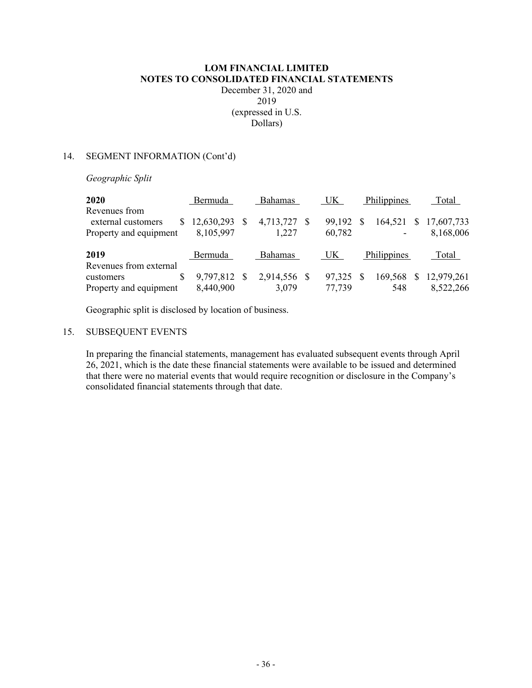#### 14. SEGMENT INFORMATION (Cont'd)

*Geographic Split*

| 2020                                | Bermuda      | <b>Bahamas</b> | UK. | Philippines | Total       |              |            |
|-------------------------------------|--------------|----------------|-----|-------------|-------------|--------------|------------|
| Revenues from<br>external customers | 12,630,293   | 4,713,727 \$   |     | 99,192      | 164,521     | <sup>S</sup> | 17,607,733 |
| Property and equipment              | 8,105,997    | 1,227          |     | 60,782      |             |              | 8,168,006  |
| 2019                                | Bermuda      | <b>Bahamas</b> |     | UK.         | Philippines |              | Total      |
| Revenues from external              |              |                |     |             |             |              |            |
| customers                           | 9,797,812 \$ | 2,914,556 \$   |     | 97,325      | 169,568     | <b>S</b>     | 12,979,261 |
| Property and equipment              | 8,440,900    | 3,079          |     | 77,739      | 548         |              | 8,522,266  |

Geographic split is disclosed by location of business.

### 15. SUBSEQUENT EVENTS

In preparing the financial statements, management has evaluated subsequent events through April 26, 2021, which is the date these financial statements were available to be issued and determined that there were no material events that would require recognition or disclosure in the Company's consolidated financial statements through that date.